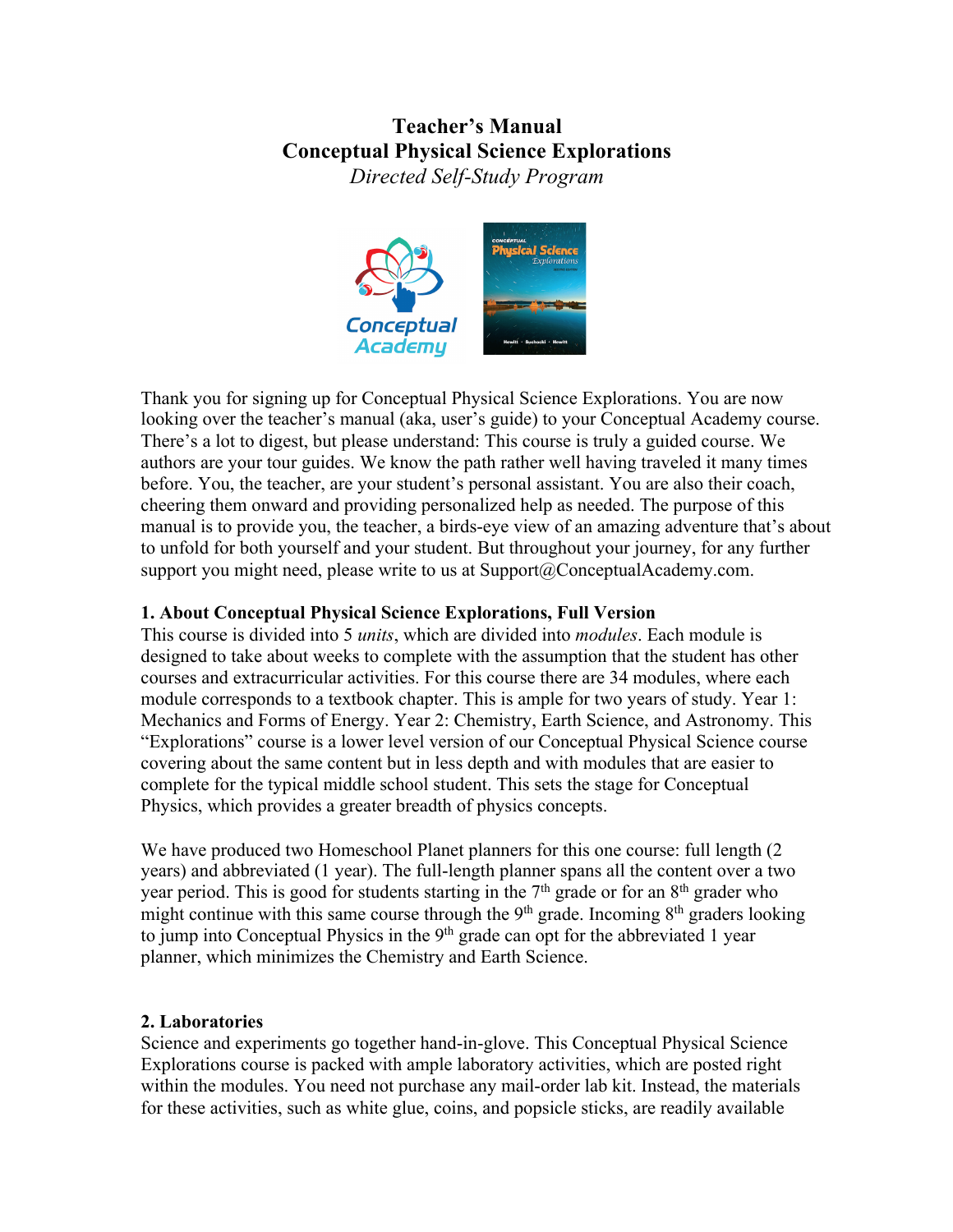# **Teacher's Manual Conceptual Physical Science Explorations**

*Directed Self-Study Program*



Thank you for signing up for Conceptual Physical Science Explorations. You are now looking over the teacher's manual (aka, user's guide) to your Conceptual Academy course. There's a lot to digest, but please understand: This course is truly a guided course. We authors are your tour guides. We know the path rather well having traveled it many times before. You, the teacher, are your student's personal assistant. You are also their coach, cheering them onward and providing personalized help as needed. The purpose of this manual is to provide you, the teacher, a birds-eye view of an amazing adventure that's about to unfold for both yourself and your student. But throughout your journey, for any further support you might need, please write to us at Support@ConceptualAcademy.com.

### **1. About Conceptual Physical Science Explorations, Full Version**

This course is divided into 5 *units*, which are divided into *modules*. Each module is designed to take about weeks to complete with the assumption that the student has other courses and extracurricular activities. For this course there are 34 modules, where each module corresponds to a textbook chapter. This is ample for two years of study. Year 1: Mechanics and Forms of Energy. Year 2: Chemistry, Earth Science, and Astronomy. This "Explorations" course is a lower level version of our Conceptual Physical Science course covering about the same content but in less depth and with modules that are easier to complete for the typical middle school student. This sets the stage for Conceptual Physics, which provides a greater breadth of physics concepts.

We have produced two Homeschool Planet planners for this one course: full length (2) years) and abbreviated (1 year). The full-length planner spans all the content over a two year period. This is good for students starting in the  $7<sup>th</sup>$  grade or for an  $8<sup>th</sup>$  grader who might continue with this same course through the  $9<sup>th</sup>$  grade. Incoming  $8<sup>th</sup>$  graders looking to jump into Conceptual Physics in the 9<sup>th</sup> grade can opt for the abbreviated 1 year planner, which minimizes the Chemistry and Earth Science.

### **2. Laboratories**

Science and experiments go together hand-in-glove. This Conceptual Physical Science Explorations course is packed with ample laboratory activities, which are posted right within the modules. You need not purchase any mail-order lab kit. Instead, the materials for these activities, such as white glue, coins, and popsicle sticks, are readily available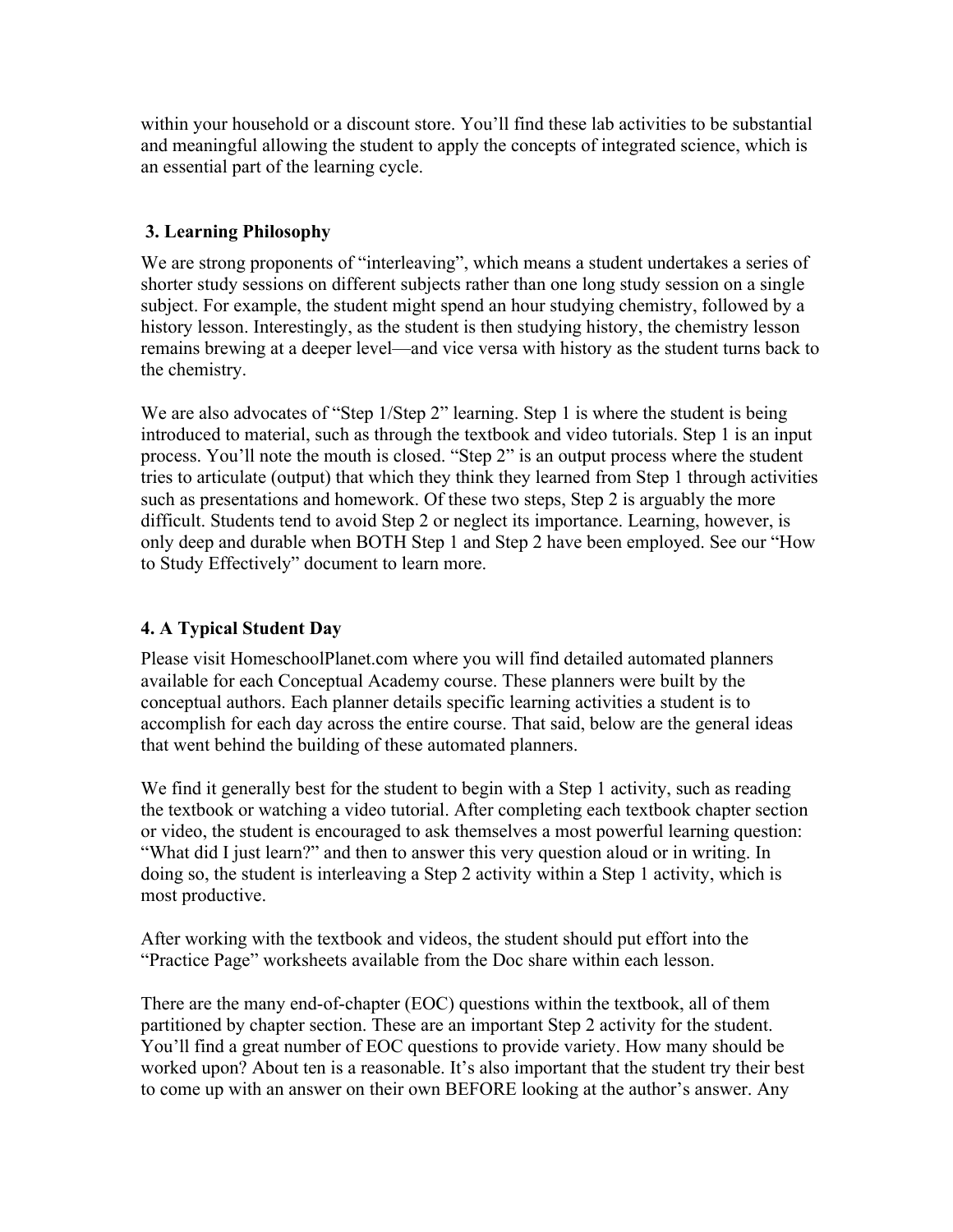within your household or a discount store. You'll find these lab activities to be substantial and meaningful allowing the student to apply the concepts of integrated science, which is an essential part of the learning cycle.

#### **3. Learning Philosophy**

We are strong proponents of "interleaving", which means a student undertakes a series of shorter study sessions on different subjects rather than one long study session on a single subject. For example, the student might spend an hour studying chemistry, followed by a history lesson. Interestingly, as the student is then studying history, the chemistry lesson remains brewing at a deeper level—and vice versa with history as the student turns back to the chemistry.

We are also advocates of "Step 1/Step 2" learning. Step 1 is where the student is being introduced to material, such as through the textbook and video tutorials. Step 1 is an input process. You'll note the mouth is closed. "Step 2" is an output process where the student tries to articulate (output) that which they think they learned from Step 1 through activities such as presentations and homework. Of these two steps, Step 2 is arguably the more difficult. Students tend to avoid Step 2 or neglect its importance. Learning, however, is only deep and durable when BOTH Step 1 and Step 2 have been employed. See our "How to Study Effectively" document to learn more.

### **4. A Typical Student Day**

Please visit HomeschoolPlanet.com where you will find detailed automated planners available for each Conceptual Academy course. These planners were built by the conceptual authors. Each planner details specific learning activities a student is to accomplish for each day across the entire course. That said, below are the general ideas that went behind the building of these automated planners.

We find it generally best for the student to begin with a Step 1 activity, such as reading the textbook or watching a video tutorial. After completing each textbook chapter section or video, the student is encouraged to ask themselves a most powerful learning question: "What did I just learn?" and then to answer this very question aloud or in writing. In doing so, the student is interleaving a Step 2 activity within a Step 1 activity, which is most productive.

After working with the textbook and videos, the student should put effort into the "Practice Page" worksheets available from the Doc share within each lesson.

There are the many end-of-chapter (EOC) questions within the textbook, all of them partitioned by chapter section. These are an important Step 2 activity for the student. You'll find a great number of EOC questions to provide variety. How many should be worked upon? About ten is a reasonable. It's also important that the student try their best to come up with an answer on their own BEFORE looking at the author's answer. Any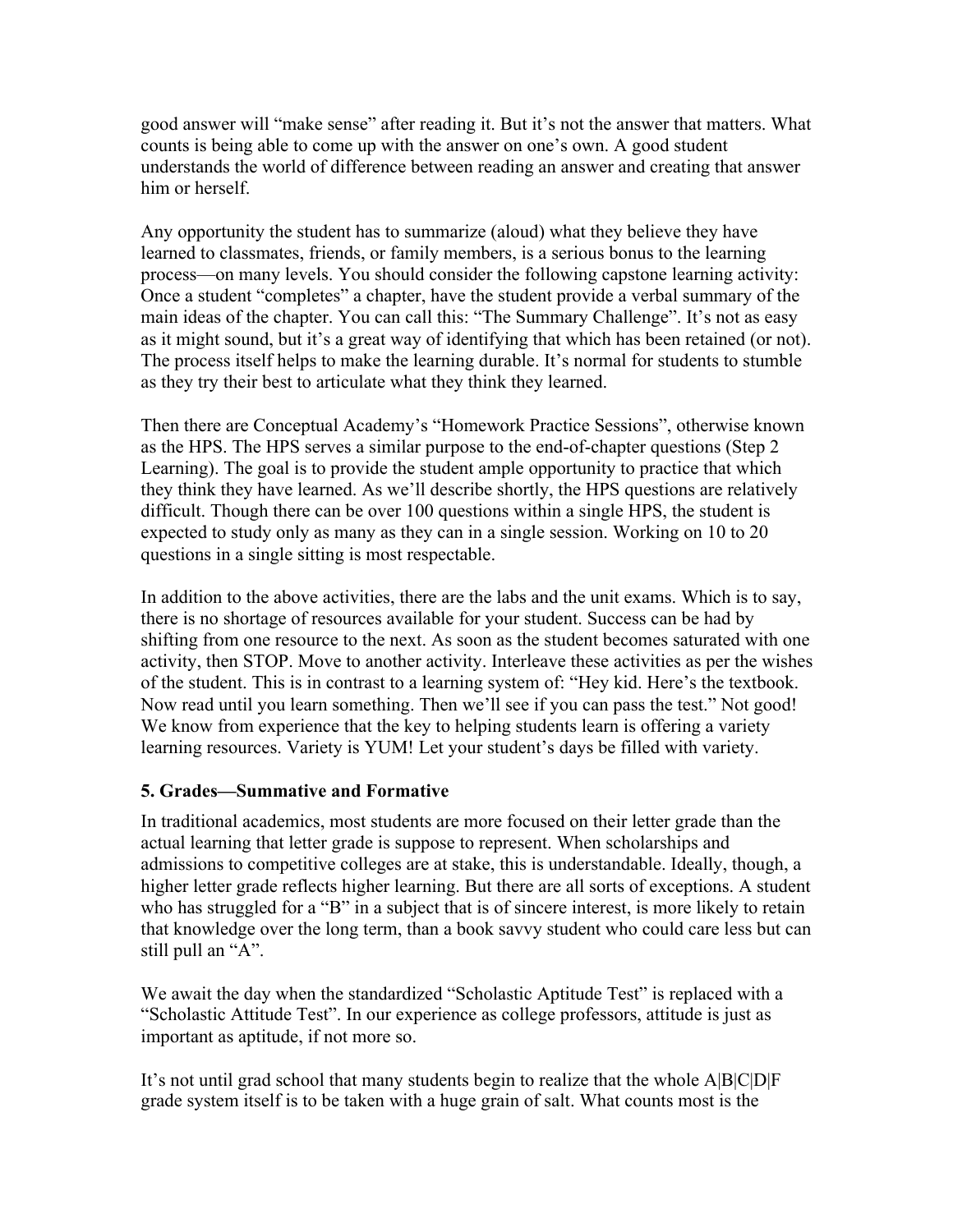good answer will "make sense" after reading it. But it's not the answer that matters. What counts is being able to come up with the answer on one's own. A good student understands the world of difference between reading an answer and creating that answer him or herself.

Any opportunity the student has to summarize (aloud) what they believe they have learned to classmates, friends, or family members, is a serious bonus to the learning process—on many levels. You should consider the following capstone learning activity: Once a student "completes" a chapter, have the student provide a verbal summary of the main ideas of the chapter. You can call this: "The Summary Challenge". It's not as easy as it might sound, but it's a great way of identifying that which has been retained (or not). The process itself helps to make the learning durable. It's normal for students to stumble as they try their best to articulate what they think they learned.

Then there are Conceptual Academy's "Homework Practice Sessions", otherwise known as the HPS. The HPS serves a similar purpose to the end-of-chapter questions (Step 2 Learning). The goal is to provide the student ample opportunity to practice that which they think they have learned. As we'll describe shortly, the HPS questions are relatively difficult. Though there can be over 100 questions within a single HPS, the student is expected to study only as many as they can in a single session. Working on 10 to 20 questions in a single sitting is most respectable.

In addition to the above activities, there are the labs and the unit exams. Which is to say, there is no shortage of resources available for your student. Success can be had by shifting from one resource to the next. As soon as the student becomes saturated with one activity, then STOP. Move to another activity. Interleave these activities as per the wishes of the student. This is in contrast to a learning system of: "Hey kid. Here's the textbook. Now read until you learn something. Then we'll see if you can pass the test." Not good! We know from experience that the key to helping students learn is offering a variety learning resources. Variety is YUM! Let your student's days be filled with variety.

#### **5. Grades—Summative and Formative**

In traditional academics, most students are more focused on their letter grade than the actual learning that letter grade is suppose to represent. When scholarships and admissions to competitive colleges are at stake, this is understandable. Ideally, though, a higher letter grade reflects higher learning. But there are all sorts of exceptions. A student who has struggled for a "B" in a subject that is of sincere interest, is more likely to retain that knowledge over the long term, than a book savvy student who could care less but can still pull an "A".

We await the day when the standardized "Scholastic Aptitude Test" is replaced with a "Scholastic Attitude Test". In our experience as college professors, attitude is just as important as aptitude, if not more so.

It's not until grad school that many students begin to realize that the whole A|B|C|D|F grade system itself is to be taken with a huge grain of salt. What counts most is the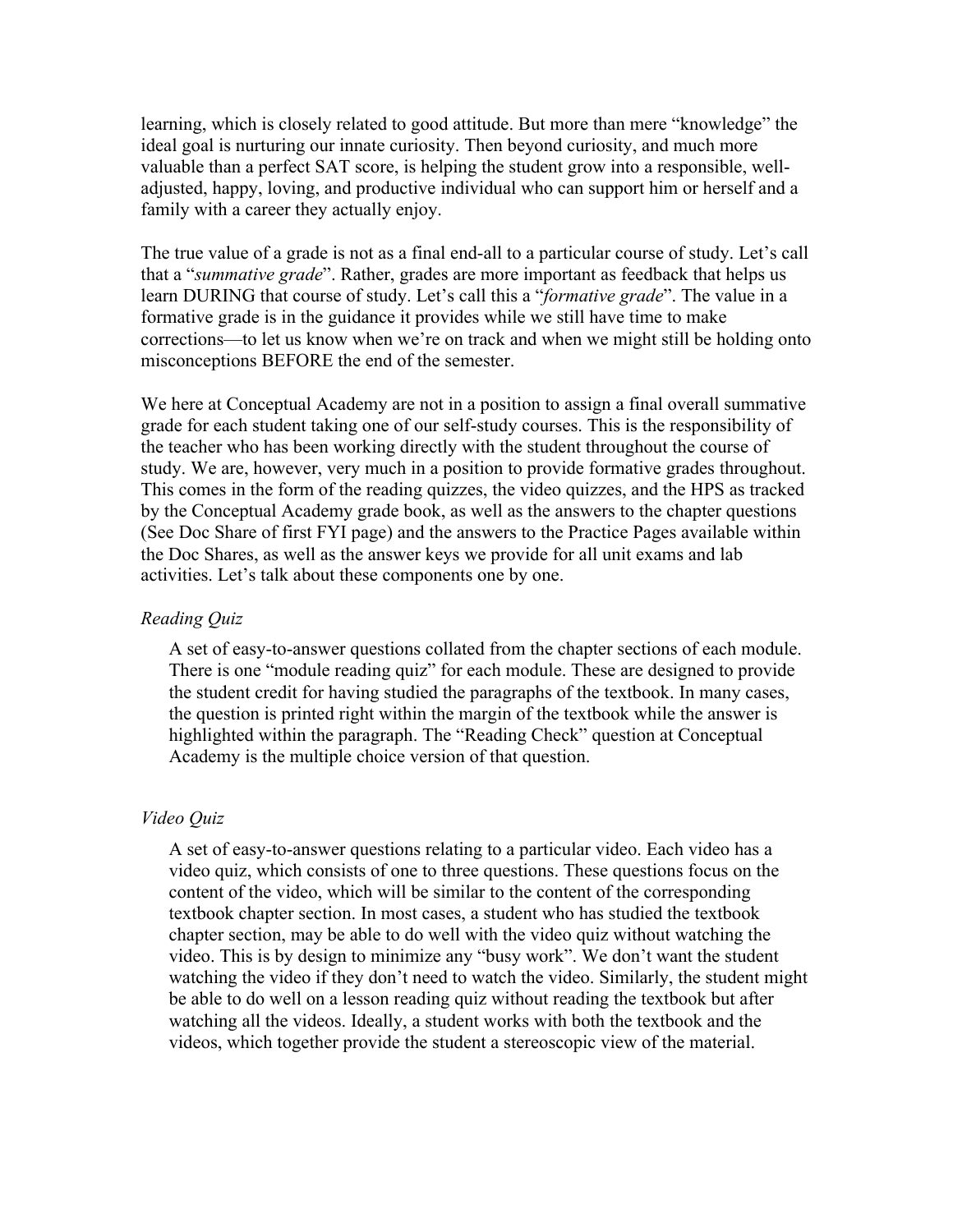learning, which is closely related to good attitude. But more than mere "knowledge" the ideal goal is nurturing our innate curiosity. Then beyond curiosity, and much more valuable than a perfect SAT score, is helping the student grow into a responsible, welladjusted, happy, loving, and productive individual who can support him or herself and a family with a career they actually enjoy.

The true value of a grade is not as a final end-all to a particular course of study. Let's call that a "*summative grade*". Rather, grades are more important as feedback that helps us learn DURING that course of study. Let's call this a "*formative grade*". The value in a formative grade is in the guidance it provides while we still have time to make corrections—to let us know when we're on track and when we might still be holding onto misconceptions BEFORE the end of the semester.

We here at Conceptual Academy are not in a position to assign a final overall summative grade for each student taking one of our self-study courses. This is the responsibility of the teacher who has been working directly with the student throughout the course of study. We are, however, very much in a position to provide formative grades throughout. This comes in the form of the reading quizzes, the video quizzes, and the HPS as tracked by the Conceptual Academy grade book, as well as the answers to the chapter questions (See Doc Share of first FYI page) and the answers to the Practice Pages available within the Doc Shares, as well as the answer keys we provide for all unit exams and lab activities. Let's talk about these components one by one.

#### *Reading Quiz*

A set of easy-to-answer questions collated from the chapter sections of each module. There is one "module reading quiz" for each module. These are designed to provide the student credit for having studied the paragraphs of the textbook. In many cases, the question is printed right within the margin of the textbook while the answer is highlighted within the paragraph. The "Reading Check" question at Conceptual Academy is the multiple choice version of that question.

#### *Video Quiz*

A set of easy-to-answer questions relating to a particular video. Each video has a video quiz, which consists of one to three questions. These questions focus on the content of the video, which will be similar to the content of the corresponding textbook chapter section. In most cases, a student who has studied the textbook chapter section, may be able to do well with the video quiz without watching the video. This is by design to minimize any "busy work". We don't want the student watching the video if they don't need to watch the video. Similarly, the student might be able to do well on a lesson reading quiz without reading the textbook but after watching all the videos. Ideally, a student works with both the textbook and the videos, which together provide the student a stereoscopic view of the material.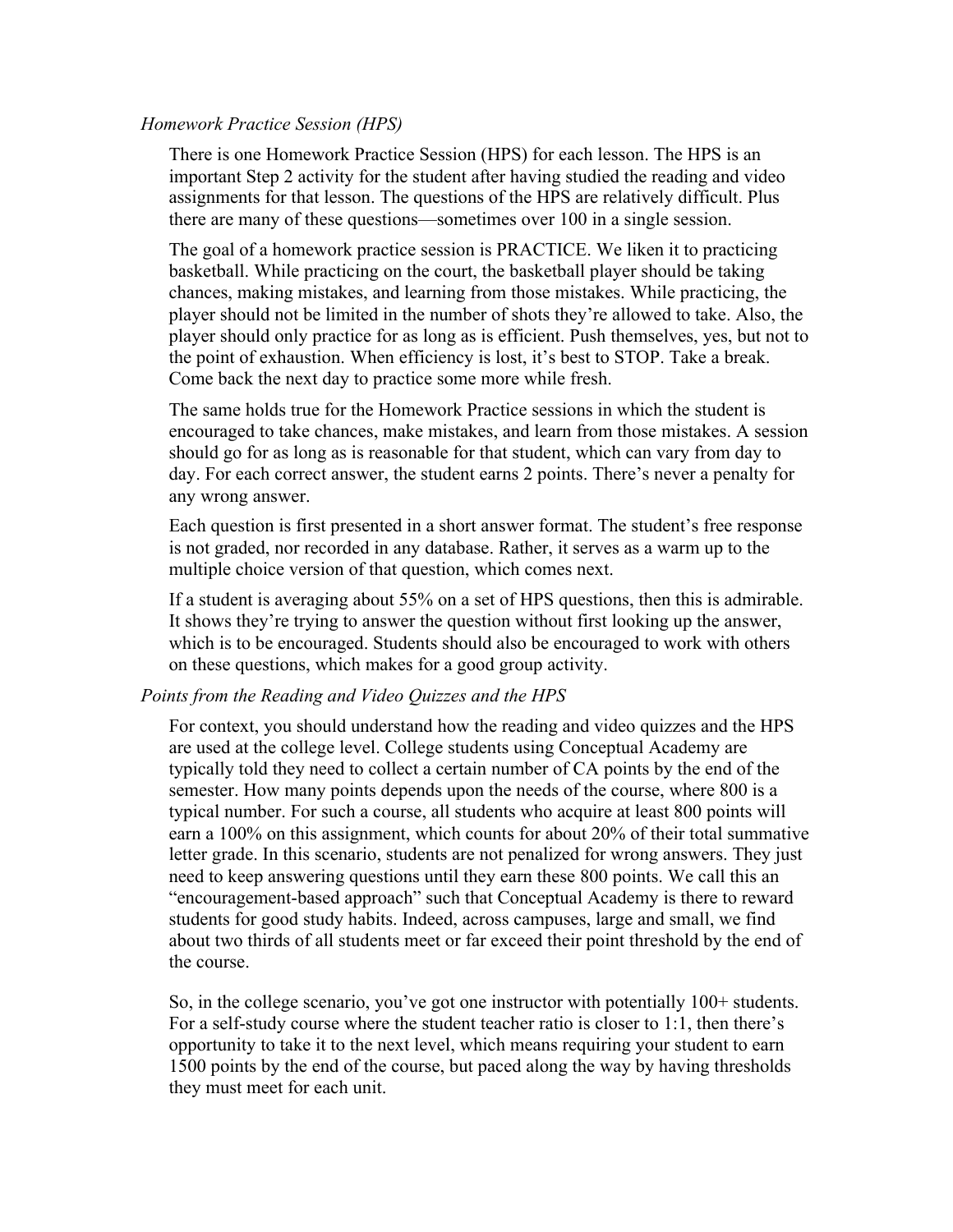#### *Homework Practice Session (HPS)*

There is one Homework Practice Session (HPS) for each lesson. The HPS is an important Step 2 activity for the student after having studied the reading and video assignments for that lesson. The questions of the HPS are relatively difficult. Plus there are many of these questions—sometimes over 100 in a single session.

The goal of a homework practice session is PRACTICE. We liken it to practicing basketball. While practicing on the court, the basketball player should be taking chances, making mistakes, and learning from those mistakes. While practicing, the player should not be limited in the number of shots they're allowed to take. Also, the player should only practice for as long as is efficient. Push themselves, yes, but not to the point of exhaustion. When efficiency is lost, it's best to STOP. Take a break. Come back the next day to practice some more while fresh.

The same holds true for the Homework Practice sessions in which the student is encouraged to take chances, make mistakes, and learn from those mistakes. A session should go for as long as is reasonable for that student, which can vary from day to day. For each correct answer, the student earns 2 points. There's never a penalty for any wrong answer.

Each question is first presented in a short answer format. The student's free response is not graded, nor recorded in any database. Rather, it serves as a warm up to the multiple choice version of that question, which comes next.

If a student is averaging about 55% on a set of HPS questions, then this is admirable. It shows they're trying to answer the question without first looking up the answer, which is to be encouraged. Students should also be encouraged to work with others on these questions, which makes for a good group activity.

#### *Points from the Reading and Video Quizzes and the HPS*

For context, you should understand how the reading and video quizzes and the HPS are used at the college level. College students using Conceptual Academy are typically told they need to collect a certain number of CA points by the end of the semester. How many points depends upon the needs of the course, where 800 is a typical number. For such a course, all students who acquire at least 800 points will earn a 100% on this assignment, which counts for about 20% of their total summative letter grade. In this scenario, students are not penalized for wrong answers. They just need to keep answering questions until they earn these 800 points. We call this an "encouragement-based approach" such that Conceptual Academy is there to reward students for good study habits. Indeed, across campuses, large and small, we find about two thirds of all students meet or far exceed their point threshold by the end of the course.

So, in the college scenario, you've got one instructor with potentially 100+ students. For a self-study course where the student teacher ratio is closer to 1:1, then there's opportunity to take it to the next level, which means requiring your student to earn 1500 points by the end of the course, but paced along the way by having thresholds they must meet for each unit.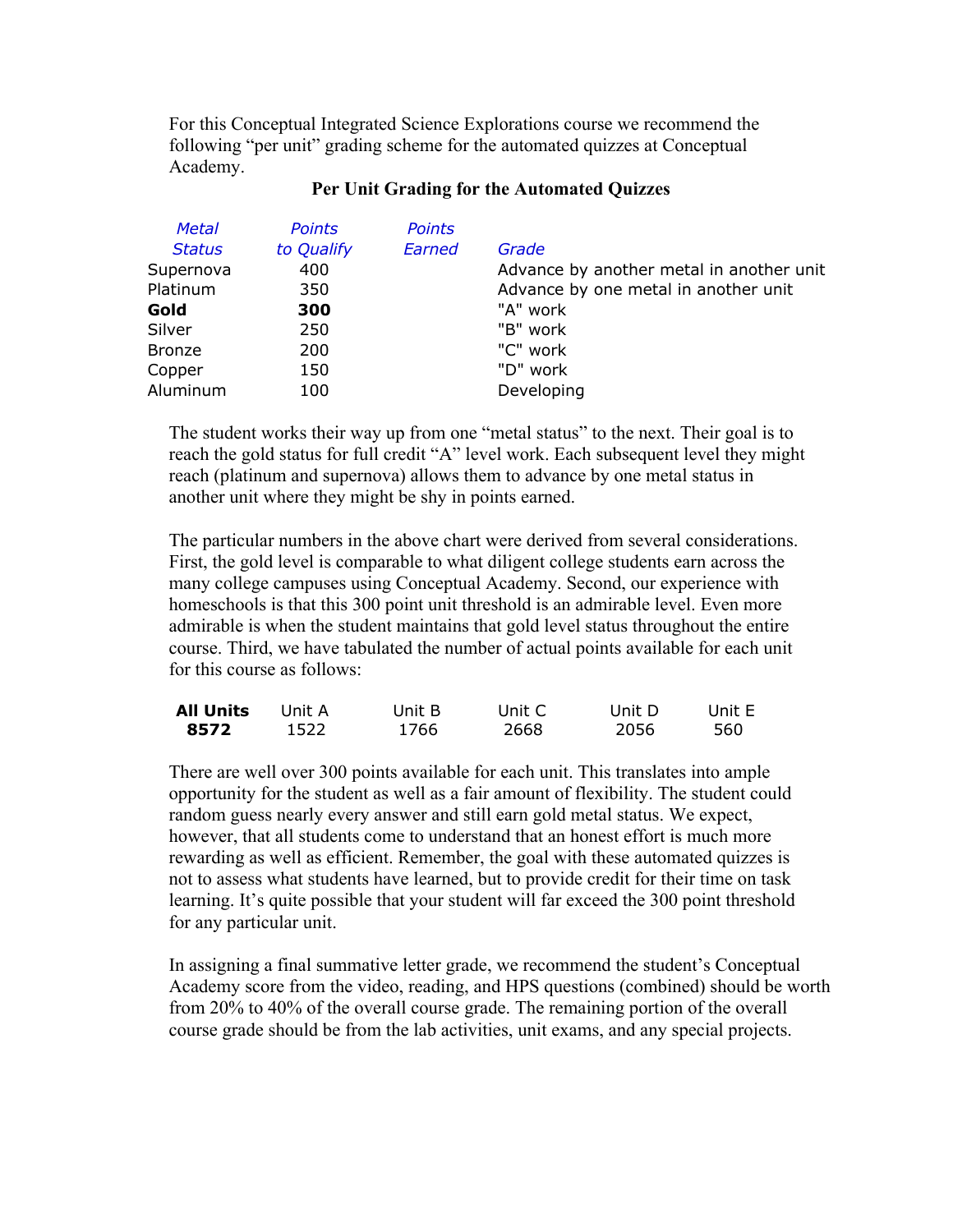For this Conceptual Integrated Science Explorations course we recommend the following "per unit" grading scheme for the automated quizzes at Conceptual Academy.

| <b>Metal</b>  | <b>Points</b> | <b>Points</b> |                                          |
|---------------|---------------|---------------|------------------------------------------|
| <b>Status</b> | to Qualify    | Earned        | Grade                                    |
| Supernova     | 400           |               | Advance by another metal in another unit |
| Platinum      | 350           |               | Advance by one metal in another unit     |
| Gold          | 300           |               | "A" work                                 |
| Silver        | 250           |               | "B" work                                 |
| <b>Bronze</b> | 200           |               | "C" work                                 |
| Copper        | 150           |               | "D" work                                 |
| Aluminum      | 100           |               | Developing                               |

#### **Per Unit Grading for the Automated Quizzes**

The student works their way up from one "metal status" to the next. Their goal is to reach the gold status for full credit "A" level work. Each subsequent level they might reach (platinum and supernova) allows them to advance by one metal status in another unit where they might be shy in points earned.

The particular numbers in the above chart were derived from several considerations. First, the gold level is comparable to what diligent college students earn across the many college campuses using Conceptual Academy. Second, our experience with homeschools is that this 300 point unit threshold is an admirable level. Even more admirable is when the student maintains that gold level status throughout the entire course. Third, we have tabulated the number of actual points available for each unit for this course as follows:

| <b>All Units</b> | -Unit A | Unit B | Unit C | Unit D | Unit E |
|------------------|---------|--------|--------|--------|--------|
| 8572             | 1522    | 1766   | 2668   | 2056   | 560    |

There are well over 300 points available for each unit. This translates into ample opportunity for the student as well as a fair amount of flexibility. The student could random guess nearly every answer and still earn gold metal status. We expect, however, that all students come to understand that an honest effort is much more rewarding as well as efficient. Remember, the goal with these automated quizzes is not to assess what students have learned, but to provide credit for their time on task learning. It's quite possible that your student will far exceed the 300 point threshold for any particular unit.

In assigning a final summative letter grade, we recommend the student's Conceptual Academy score from the video, reading, and HPS questions (combined) should be worth from 20% to 40% of the overall course grade. The remaining portion of the overall course grade should be from the lab activities, unit exams, and any special projects.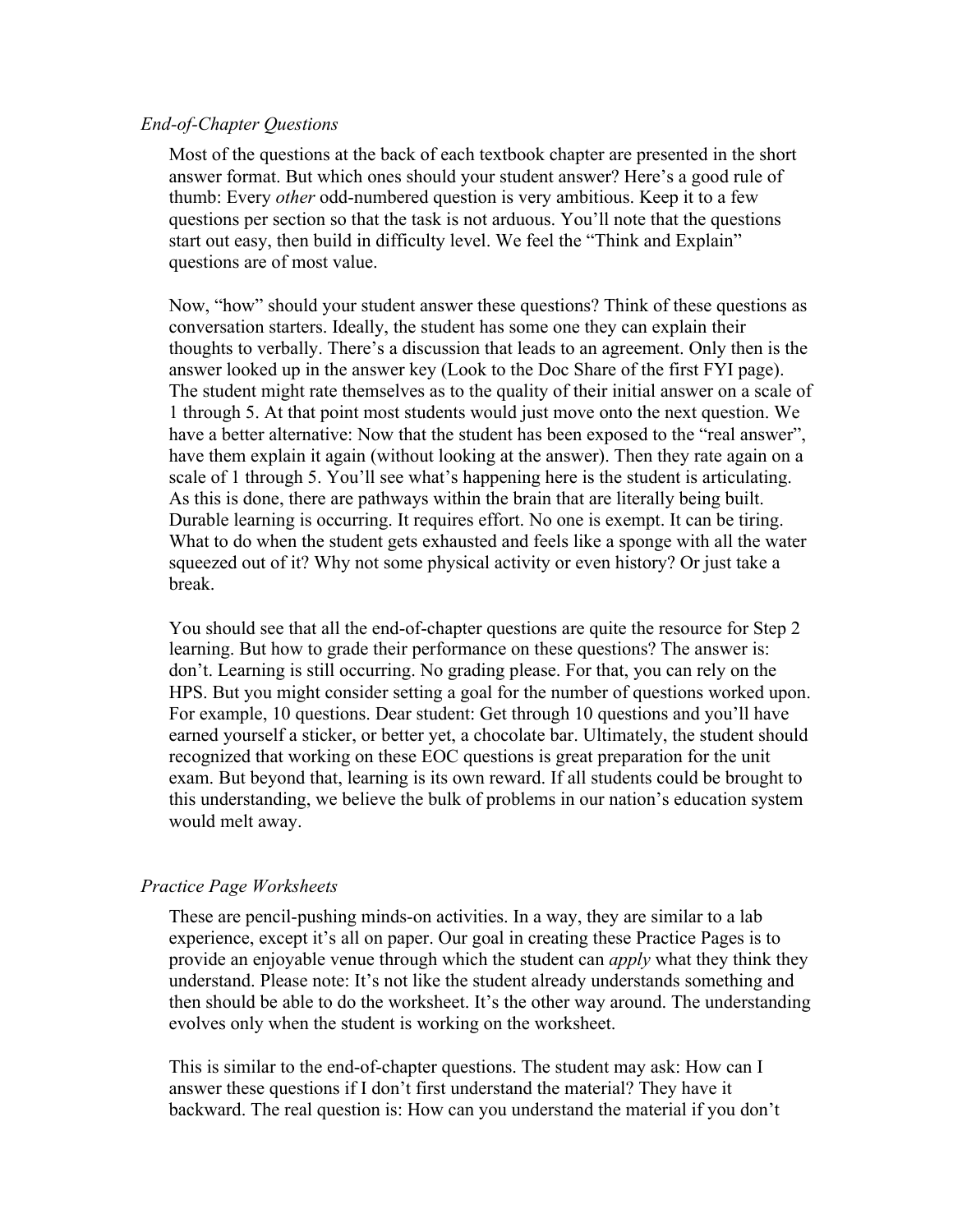#### *End-of-Chapter Questions*

Most of the questions at the back of each textbook chapter are presented in the short answer format. But which ones should your student answer? Here's a good rule of thumb: Every *other* odd-numbered question is very ambitious. Keep it to a few questions per section so that the task is not arduous. You'll note that the questions start out easy, then build in difficulty level. We feel the "Think and Explain" questions are of most value.

Now, "how" should your student answer these questions? Think of these questions as conversation starters. Ideally, the student has some one they can explain their thoughts to verbally. There's a discussion that leads to an agreement. Only then is the answer looked up in the answer key (Look to the Doc Share of the first FYI page). The student might rate themselves as to the quality of their initial answer on a scale of 1 through 5. At that point most students would just move onto the next question. We have a better alternative: Now that the student has been exposed to the "real answer", have them explain it again (without looking at the answer). Then they rate again on a scale of 1 through 5. You'll see what's happening here is the student is articulating. As this is done, there are pathways within the brain that are literally being built. Durable learning is occurring. It requires effort. No one is exempt. It can be tiring. What to do when the student gets exhausted and feels like a sponge with all the water squeezed out of it? Why not some physical activity or even history? Or just take a break.

You should see that all the end-of-chapter questions are quite the resource for Step 2 learning. But how to grade their performance on these questions? The answer is: don't. Learning is still occurring. No grading please. For that, you can rely on the HPS. But you might consider setting a goal for the number of questions worked upon. For example, 10 questions. Dear student: Get through 10 questions and you'll have earned yourself a sticker, or better yet, a chocolate bar. Ultimately, the student should recognized that working on these EOC questions is great preparation for the unit exam. But beyond that, learning is its own reward. If all students could be brought to this understanding, we believe the bulk of problems in our nation's education system would melt away.

#### *Practice Page Worksheets*

These are pencil-pushing minds-on activities. In a way, they are similar to a lab experience, except it's all on paper. Our goal in creating these Practice Pages is to provide an enjoyable venue through which the student can *apply* what they think they understand. Please note: It's not like the student already understands something and then should be able to do the worksheet. It's the other way around. The understanding evolves only when the student is working on the worksheet.

This is similar to the end-of-chapter questions. The student may ask: How can I answer these questions if I don't first understand the material? They have it backward. The real question is: How can you understand the material if you don't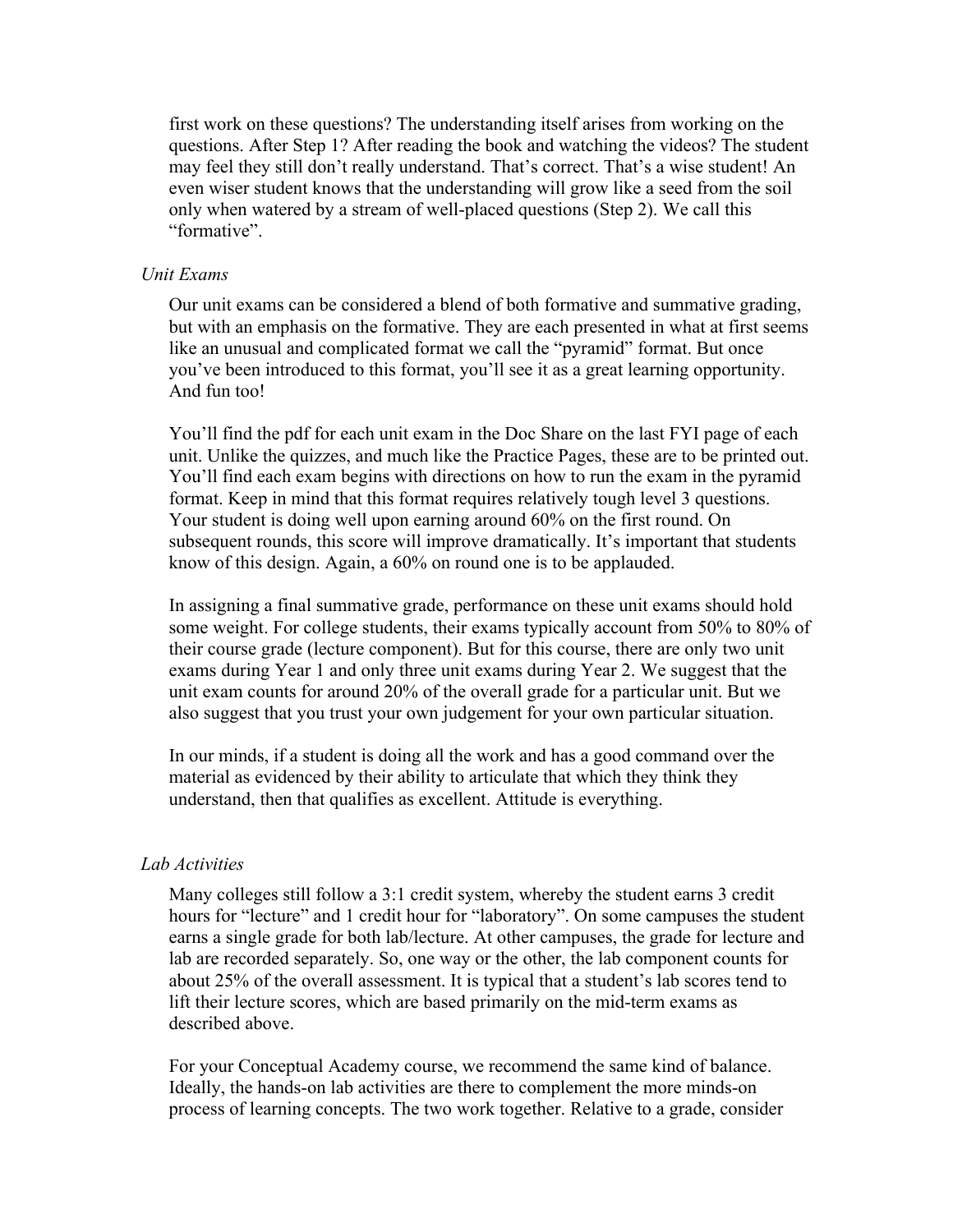first work on these questions? The understanding itself arises from working on the questions. After Step 1? After reading the book and watching the videos? The student may feel they still don't really understand. That's correct. That's a wise student! An even wiser student knows that the understanding will grow like a seed from the soil only when watered by a stream of well-placed questions (Step 2). We call this "formative".

#### *Unit Exams*

Our unit exams can be considered a blend of both formative and summative grading, but with an emphasis on the formative. They are each presented in what at first seems like an unusual and complicated format we call the "pyramid" format. But once you've been introduced to this format, you'll see it as a great learning opportunity. And fun too!

You'll find the pdf for each unit exam in the Doc Share on the last FYI page of each unit. Unlike the quizzes, and much like the Practice Pages, these are to be printed out. You'll find each exam begins with directions on how to run the exam in the pyramid format. Keep in mind that this format requires relatively tough level 3 questions. Your student is doing well upon earning around 60% on the first round. On subsequent rounds, this score will improve dramatically. It's important that students know of this design. Again, a 60% on round one is to be applauded.

In assigning a final summative grade, performance on these unit exams should hold some weight. For college students, their exams typically account from 50% to 80% of their course grade (lecture component). But for this course, there are only two unit exams during Year 1 and only three unit exams during Year 2. We suggest that the unit exam counts for around 20% of the overall grade for a particular unit. But we also suggest that you trust your own judgement for your own particular situation.

In our minds, if a student is doing all the work and has a good command over the material as evidenced by their ability to articulate that which they think they understand, then that qualifies as excellent. Attitude is everything.

#### *Lab Activities*

Many colleges still follow a 3:1 credit system, whereby the student earns 3 credit hours for "lecture" and 1 credit hour for "laboratory". On some campuses the student earns a single grade for both lab/lecture. At other campuses, the grade for lecture and lab are recorded separately. So, one way or the other, the lab component counts for about 25% of the overall assessment. It is typical that a student's lab scores tend to lift their lecture scores, which are based primarily on the mid-term exams as described above.

For your Conceptual Academy course, we recommend the same kind of balance. Ideally, the hands-on lab activities are there to complement the more minds-on process of learning concepts. The two work together. Relative to a grade, consider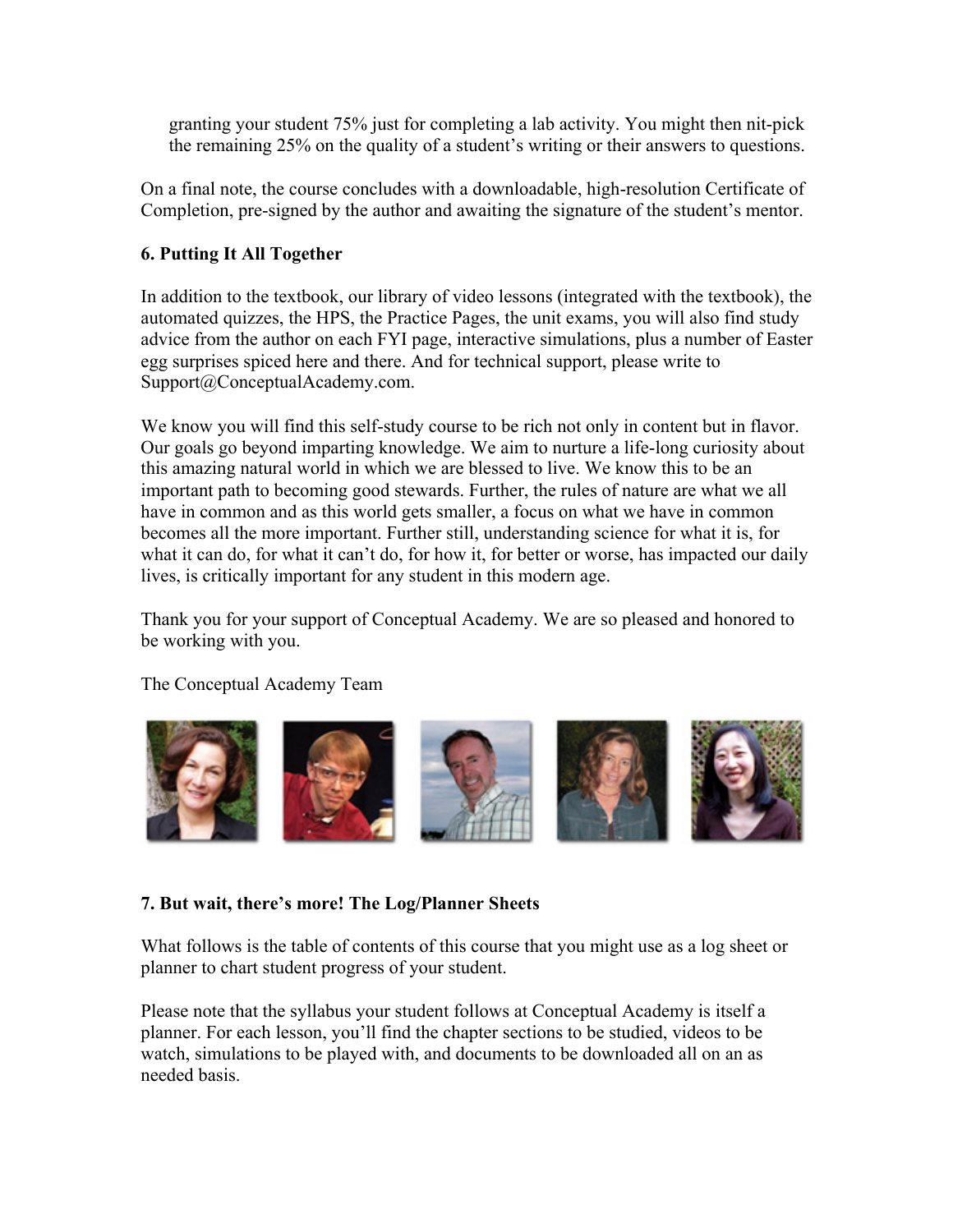granting your student 75% just for completing a lab activity. You might then nit-pick the remaining 25% on the quality of a student's writing or their answers to questions.

On a final note, the course concludes with a downloadable, high-resolution Certificate of Completion, pre-signed by the author and awaiting the signature of the student's mentor.

#### **6. Putting It All Together**

In addition to the textbook, our library of video lessons (integrated with the textbook), the automated quizzes, the HPS, the Practice Pages, the unit exams, you will also find study advice from the author on each FYI page, interactive simulations, plus a number of Easter egg surprises spiced here and there. And for technical support, please write to Support@ConceptualAcademy.com.

We know you will find this self-study course to be rich not only in content but in flavor. Our goals go beyond imparting knowledge. We aim to nurture a life-long curiosity about this amazing natural world in which we are blessed to live. We know this to be an important path to becoming good stewards. Further, the rules of nature are what we all have in common and as this world gets smaller, a focus on what we have in common becomes all the more important. Further still, understanding science for what it is, for what it can do, for what it can't do, for how it, for better or worse, has impacted our daily lives, is critically important for any student in this modern age.

Thank you for your support of Conceptual Academy. We are so pleased and honored to be working with you.

The Conceptual Academy Team



### **7. But wait, there's more! The Log/Planner Sheets**

What follows is the table of contents of this course that you might use as a log sheet or planner to chart student progress of your student.

Please note that the syllabus your student follows at Conceptual Academy is itself a planner. For each lesson, you'll find the chapter sections to be studied, videos to be watch, simulations to be played with, and documents to be downloaded all on an as needed basis.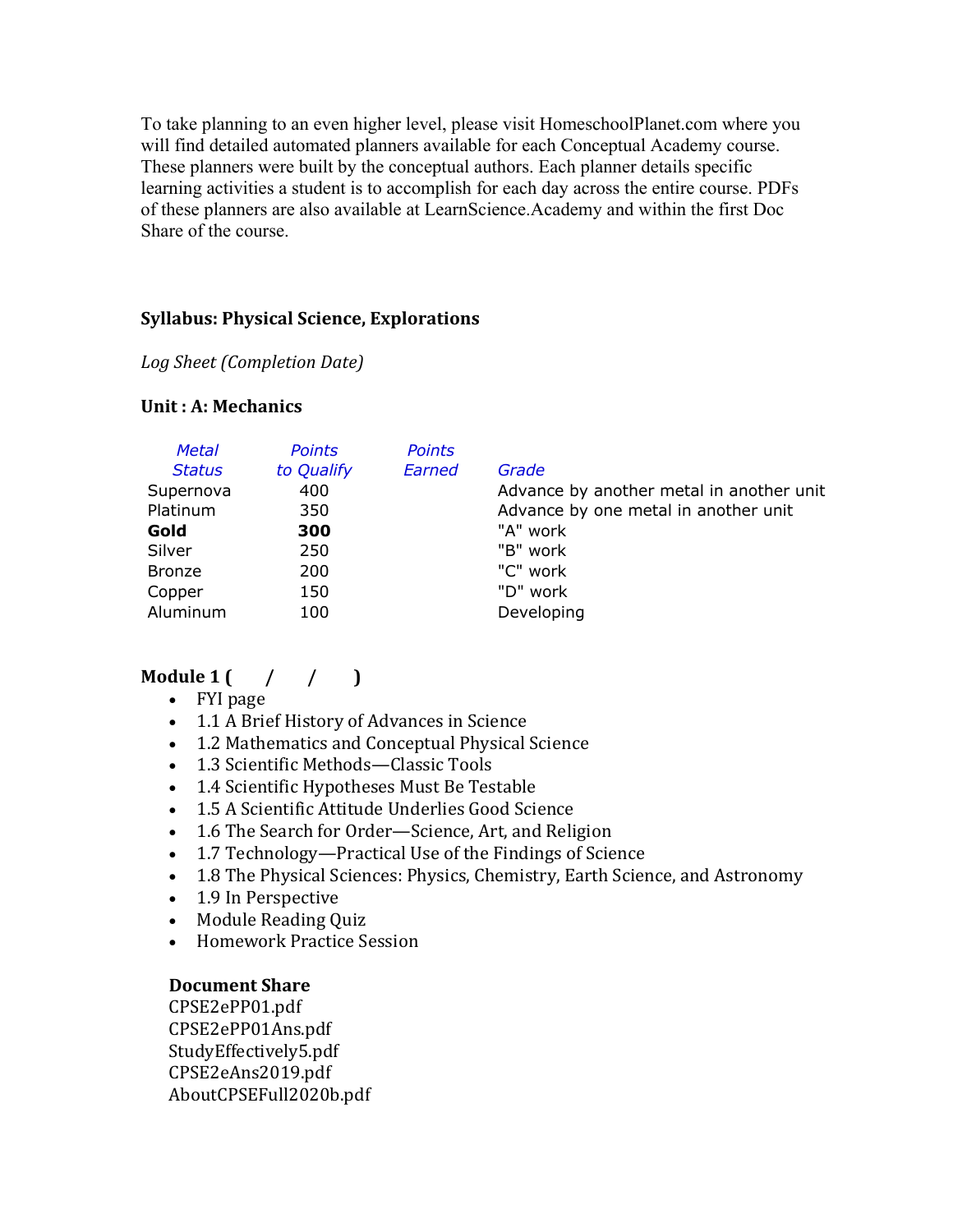To take planning to an even higher level, please visit HomeschoolPlanet.com where you will find detailed automated planners available for each Conceptual Academy course. These planners were built by the conceptual authors. Each planner details specific learning activities a student is to accomplish for each day across the entire course. PDFs of these planners are also available at LearnScience.Academy and within the first Doc Share of the course.

#### **Syllabus: Physical Science, Explorations**

*Log Sheet (Completion Date)*

#### **Unit: A: Mechanics**

| <b>Metal</b><br><b>Points</b><br><b>Points</b><br>Earned<br>to Qualify<br><b>Status</b><br>Grade<br>400<br>Supernova<br>Platinum<br>350<br>"A" work<br>Gold<br>300<br>"B" work<br>Silver<br>250<br>"C" work<br>200<br><b>Bronze</b><br>"D" work<br>150<br>Copper<br>Aluminum<br>Developing<br>100 | Advance by another metal in another unit<br>Advance by one metal in another unit |
|---------------------------------------------------------------------------------------------------------------------------------------------------------------------------------------------------------------------------------------------------------------------------------------------------|----------------------------------------------------------------------------------|
|---------------------------------------------------------------------------------------------------------------------------------------------------------------------------------------------------------------------------------------------------------------------------------------------------|----------------------------------------------------------------------------------|

## **Module**  $1 \left( \begin{array}{cc} \end{array} \right)$

- FYI page
- 1.1 A Brief History of Advances in Science
- 1.2 Mathematics and Conceptual Physical Science
- 1.3 Scientific Methods-Classic Tools
- 1.4 Scientific Hypotheses Must Be Testable
- 1.5 A Scientific Attitude Underlies Good Science
- 1.6 The Search for Order—Science, Art, and Religion
- 1.7 Technology—Practical Use of the Findings of Science
- 1.8 The Physical Sciences: Physics, Chemistry, Earth Science, and Astronomy
- 1.9 In Perspective
- Module Reading Quiz
- Homework Practice Session

#### **Document Share**

CPSE2ePP01.pdf CPSE2ePP01Ans.pdf StudyEffectively5.pdf CPSE2eAns2019.pdf AboutCPSEFull2020b.pdf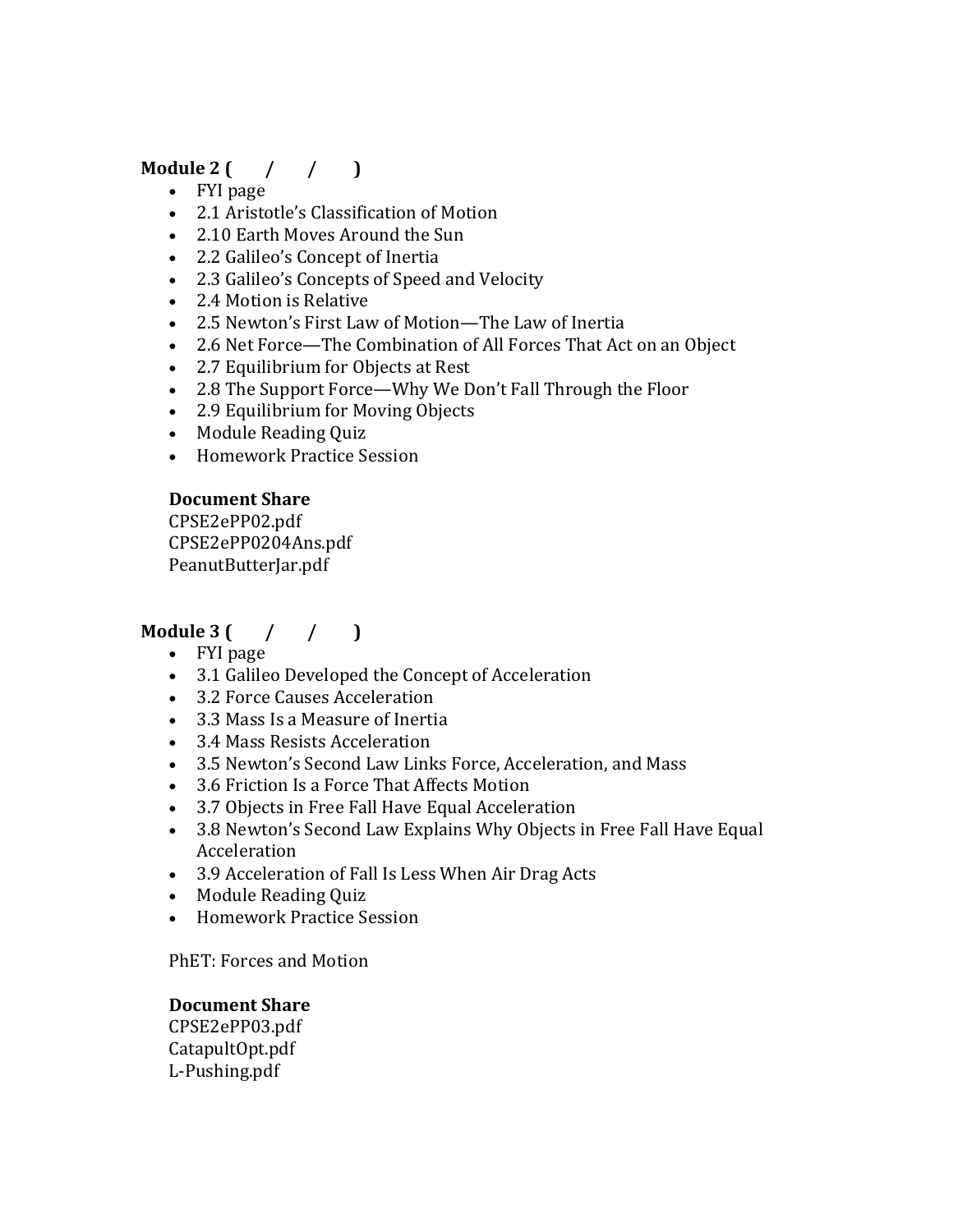## **Module** 2  $($  /  $/$  1

- FYI page
- 2.1 Aristotle's Classification of Motion
- 2.10 Earth Moves Around the Sun
- 2.2 Galileo's Concept of Inertia
- 2.3 Galileo's Concepts of Speed and Velocity
- 2.4 Motion is Relative
- 2.5 Newton's First Law of Motion—The Law of Inertia
- 2.6 Net Force—The Combination of All Forces That Act on an Object
- 2.7 Equilibrium for Objects at Rest
- 2.8 The Support Force—Why We Don't Fall Through the Floor
- 2.9 Equilibrium for Moving Objects
- Module Reading Quiz
- Homework Practice Session

### **Document Share**

CPSE2ePP02.pdf CPSE2ePP0204Ans.pdf PeanutButterJar.pdf

## **Module** 3  $($  /  $/$   $)$

- FYI page
- 3.1 Galileo Developed the Concept of Acceleration
- 3.2 Force Causes Acceleration
- $\bullet$  3.3 Mass Is a Measure of Inertia
- 3.4 Mass Resists Acceleration
- 3.5 Newton's Second Law Links Force, Acceleration, and Mass
- 3.6 Friction Is a Force That Affects Motion
- 3.7 Objects in Free Fall Have Equal Acceleration
- 3.8 Newton's Second Law Explains Why Objects in Free Fall Have Equal Acceleration
- 3.9 Acceleration of Fall Is Less When Air Drag Acts
- Module Reading Quiz
- Homework Practice Session

PhET: Forces and Motion

### **Document Share**

CPSE2ePP03.pdf CatapultOpt.pdf L-Pushing.pdf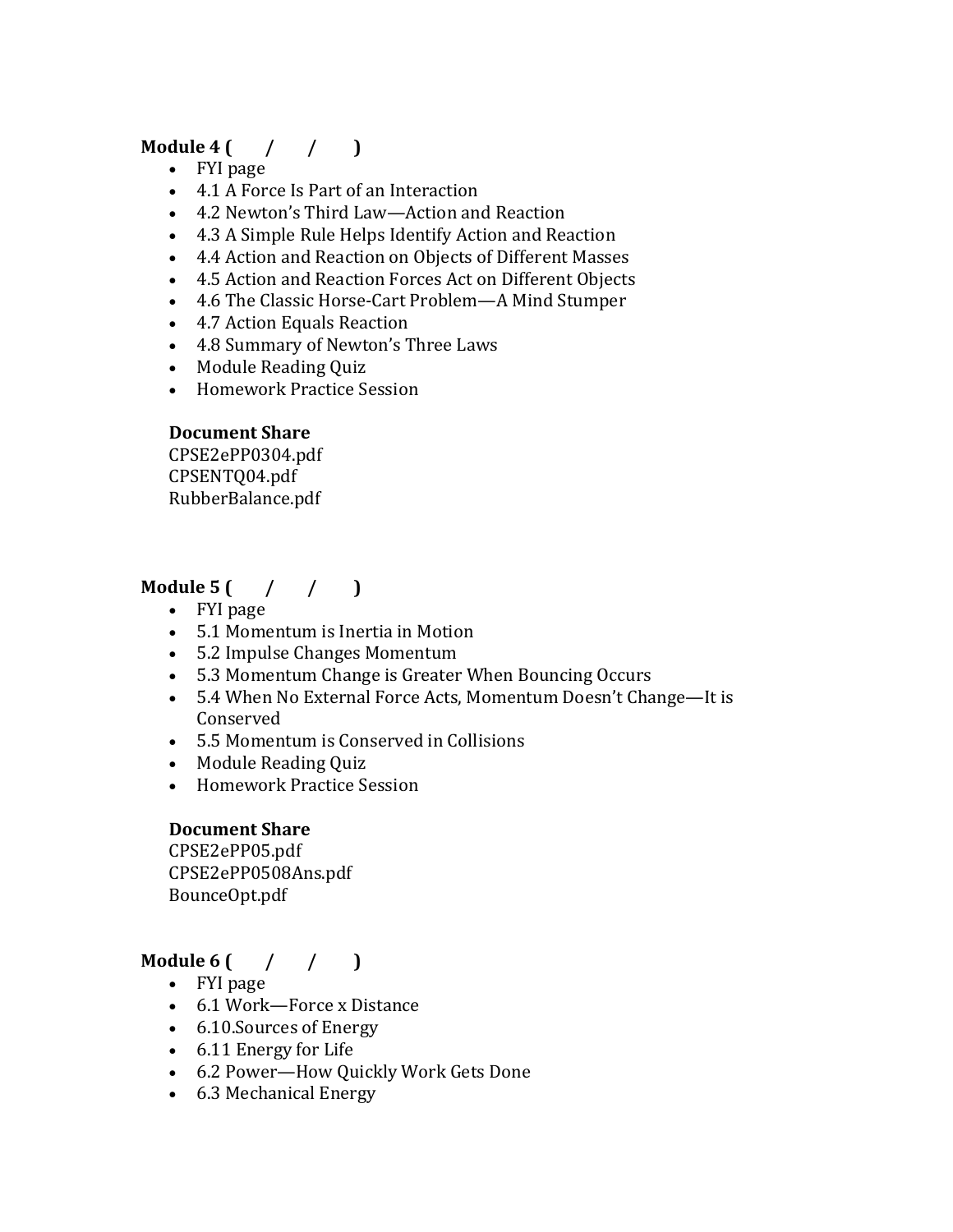### **Module 4 (** / / )

- FYI page
- 4.1 A Force Is Part of an Interaction
- 4.2 Newton's Third Law—Action and Reaction
- 4.3 A Simple Rule Helps Identify Action and Reaction
- 4.4 Action and Reaction on Objects of Different Masses
- 4.5 Action and Reaction Forces Act on Different Objects
- 4.6 The Classic Horse-Cart Problem—A Mind Stumper
- 4.7 Action Equals Reaction
- 4.8 Summary of Newton's Three Laws
- Module Reading Quiz
- Homework Practice Session

### **Document Share**

CPSE2ePP0304.pdf CPSENTQ04.pdf RubberBalance.pdf

## **Module 5** ( / / )

- FYI page
- 5.1 Momentum is Inertia in Motion
- 5.2 Impulse Changes Momentum
- 5.3 Momentum Change is Greater When Bouncing Occurs
- 5.4 When No External Force Acts, Momentum Doesn't Change—It is Conserved
- 5.5 Momentum is Conserved in Collisions
- Module Reading Quiz
- Homework Practice Session

### **Document Share**

CPSE2ePP05.pdf CPSE2ePP0508Ans.pdf BounceOpt.pdf

## **Module 6 (** / / )

- FYI page
- 6.1 Work—Force x Distance
- 6.10. Sources of Energy
- 6.11 Energy for Life
- 6.2 Power—How Quickly Work Gets Done
- 6.3 Mechanical Energy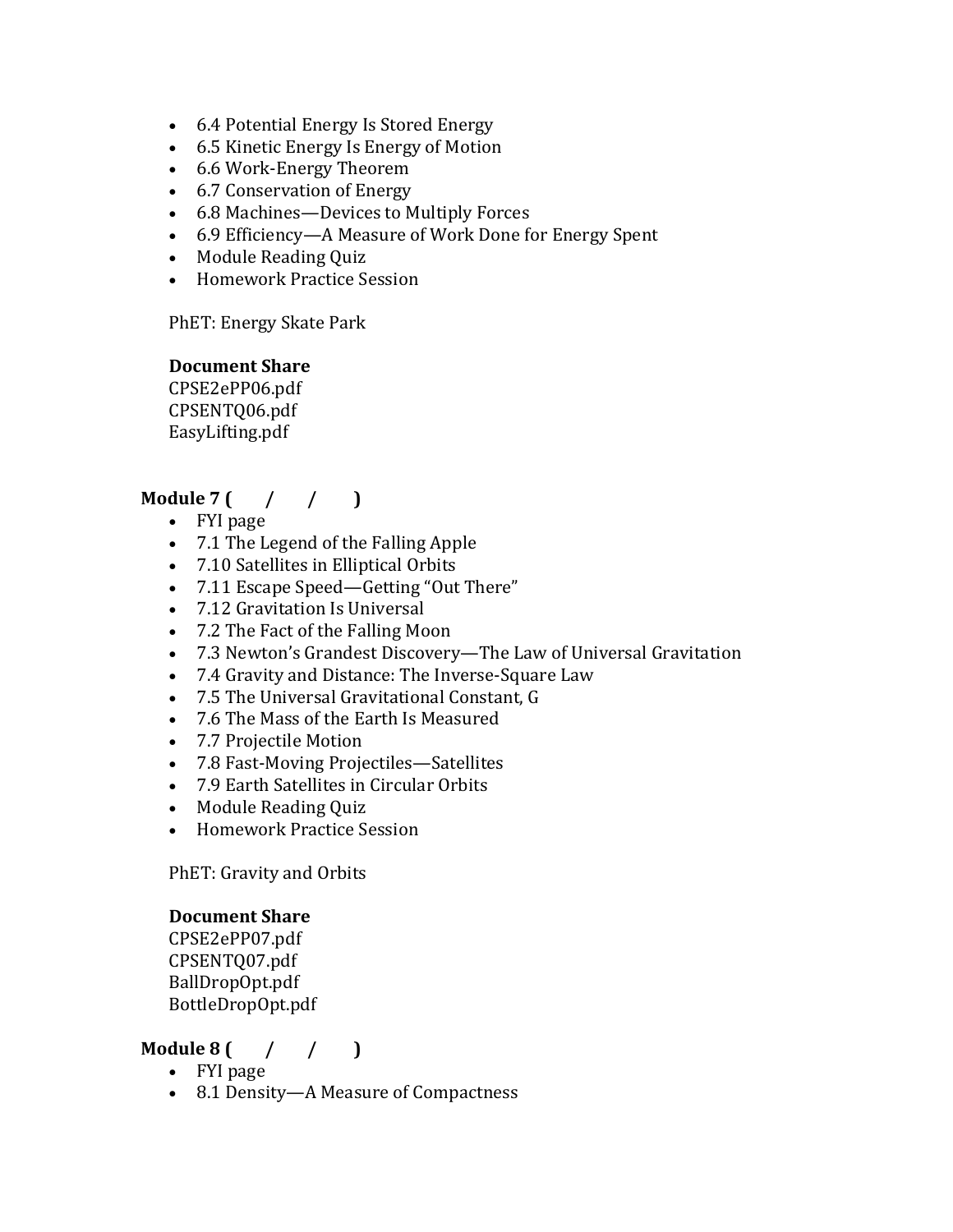- 6.4 Potential Energy Is Stored Energy
- 6.5 Kinetic Energy Is Energy of Motion
- 6.6 Work-Energy Theorem
- 6.7 Conservation of Energy
- 6.8 Machines—Devices to Multiply Forces
- 6.9 Efficiency—A Measure of Work Done for Energy Spent
- Module Reading Quiz
- Homework Practice Session

PhET: Energy Skate Park

#### **Document Share**

CPSE2ePP06.pdf CPSENTQ06.pdf EasyLifting.pdf

## **Module**  $7($  / /  $)$

- FYI page
- 7.1 The Legend of the Falling Apple
- 7.10 Satellites in Elliptical Orbits
- 7.11 Escape Speed—Getting "Out There"
- 7.12 Gravitation Is Universal
- 7.2 The Fact of the Falling Moon
- 7.3 Newton's Grandest Discovery—The Law of Universal Gravitation
- 7.4 Gravity and Distance: The Inverse-Square Law
- 7.5 The Universal Gravitational Constant, G
- 7.6 The Mass of the Earth Is Measured
- 7.7 Projectile Motion
- 7.8 Fast-Moving Projectiles—Satellites
- 7.9 Earth Satellites in Circular Orbits
- Module Reading Ouiz
- Homework Practice Session

PhET: Gravity and Orbits

#### **Document Share**

CPSE2ePP07.pdf CPSENTQ07.pdf BallDropOpt.pdf BottleDropOpt.pdf

### **Module**  $8 \left( \frac{1}{1000} \right)$

- FYI page
- 8.1 Density—A Measure of Compactness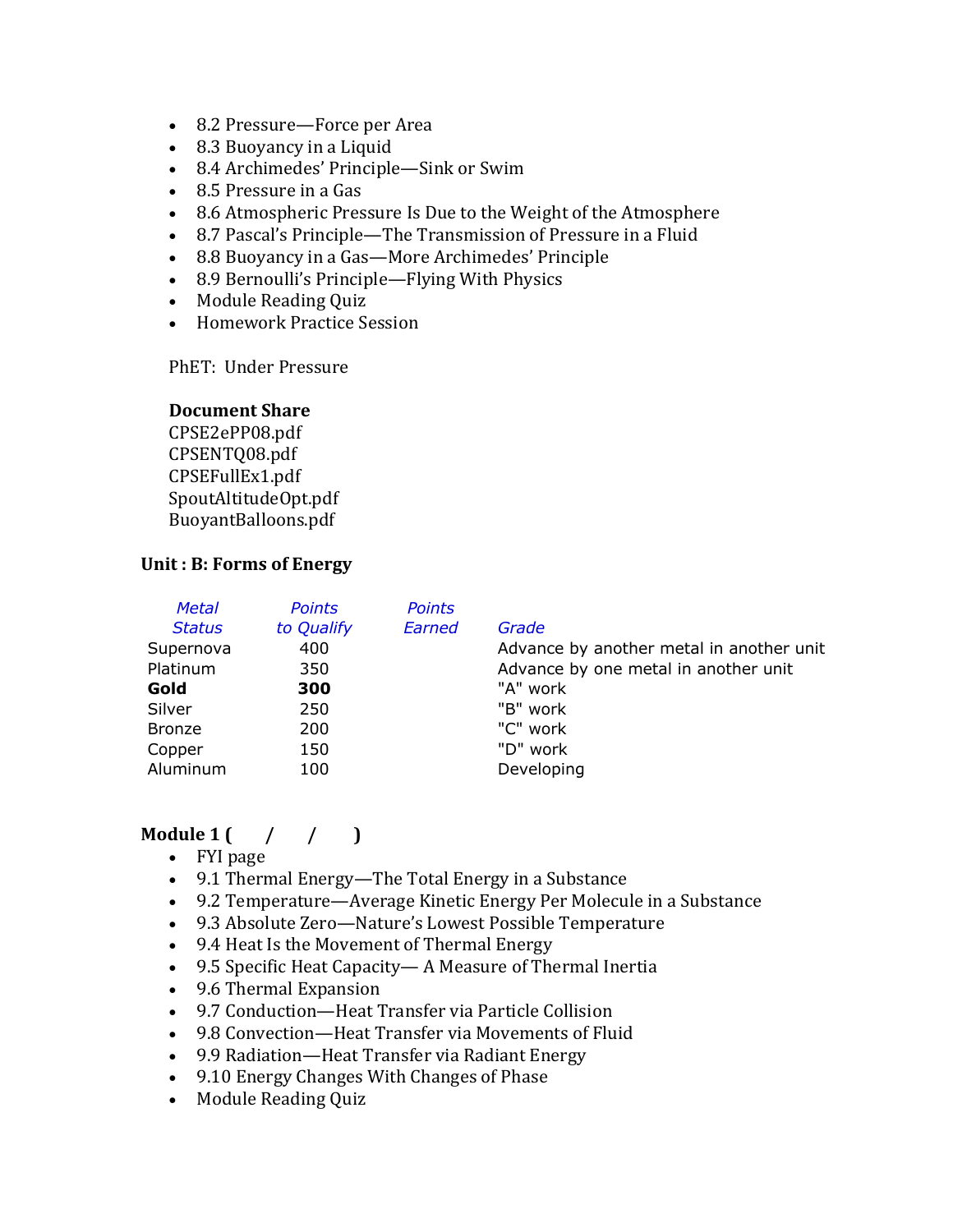- 8.2 Pressure—Force per Area
- 8.3 Buoyancy in a Liquid
- 8.4 Archimedes' Principle—Sink or Swim
- $\bullet$  8.5 Pressure in a Gas
- 8.6 Atmospheric Pressure Is Due to the Weight of the Atmosphere
- 8.7 Pascal's Principle—The Transmission of Pressure in a Fluid
- 8.8 Buoyancy in a Gas—More Archimedes' Principle
- 8.9 Bernoulli's Principle—Flying With Physics
- Module Reading Quiz
- Homework Practice Session

PhET: Under Pressure

#### **Document Share**

CPSE2ePP08.pdf CPSENTQ08.pdf CPSEFullEx1.pdf SpoutAltitudeOpt.pdf BuoyantBalloons.pdf

#### Unit : B: Forms of Energy

| <b>Metal</b>  | <b>Points</b> | <b>Points</b> |                                          |
|---------------|---------------|---------------|------------------------------------------|
| <b>Status</b> | to Qualify    | Earned        | Grade                                    |
| Supernova     | 400           |               | Advance by another metal in another unit |
| Platinum      | 350           |               | Advance by one metal in another unit     |
| Gold          | 300           |               | "A" work                                 |
| Silver        | 250           |               | "B" work                                 |
| <b>Bronze</b> | 200           |               | "C" work                                 |
| Copper        | 150           |               | "D" work                                 |
| Aluminum      | 100           |               | Developing                               |

### **Module 1**  $\binom{1}{1}$

- FYI page
- 9.1 Thermal Energy—The Total Energy in a Substance
- 9.2 Temperature—Average Kinetic Energy Per Molecule in a Substance
- 9.3 Absolute Zero-Nature's Lowest Possible Temperature
- 9.4 Heat Is the Movement of Thermal Energy
- 9.5 Specific Heat Capacity— A Measure of Thermal Inertia
- 9.6 Thermal Expansion
- 9.7 Conduction—Heat Transfer via Particle Collision
- 9.8 Convection—Heat Transfer via Movements of Fluid
- 9.9 Radiation—Heat Transfer via Radiant Energy
- 9.10 Energy Changes With Changes of Phase
- Module Reading Quiz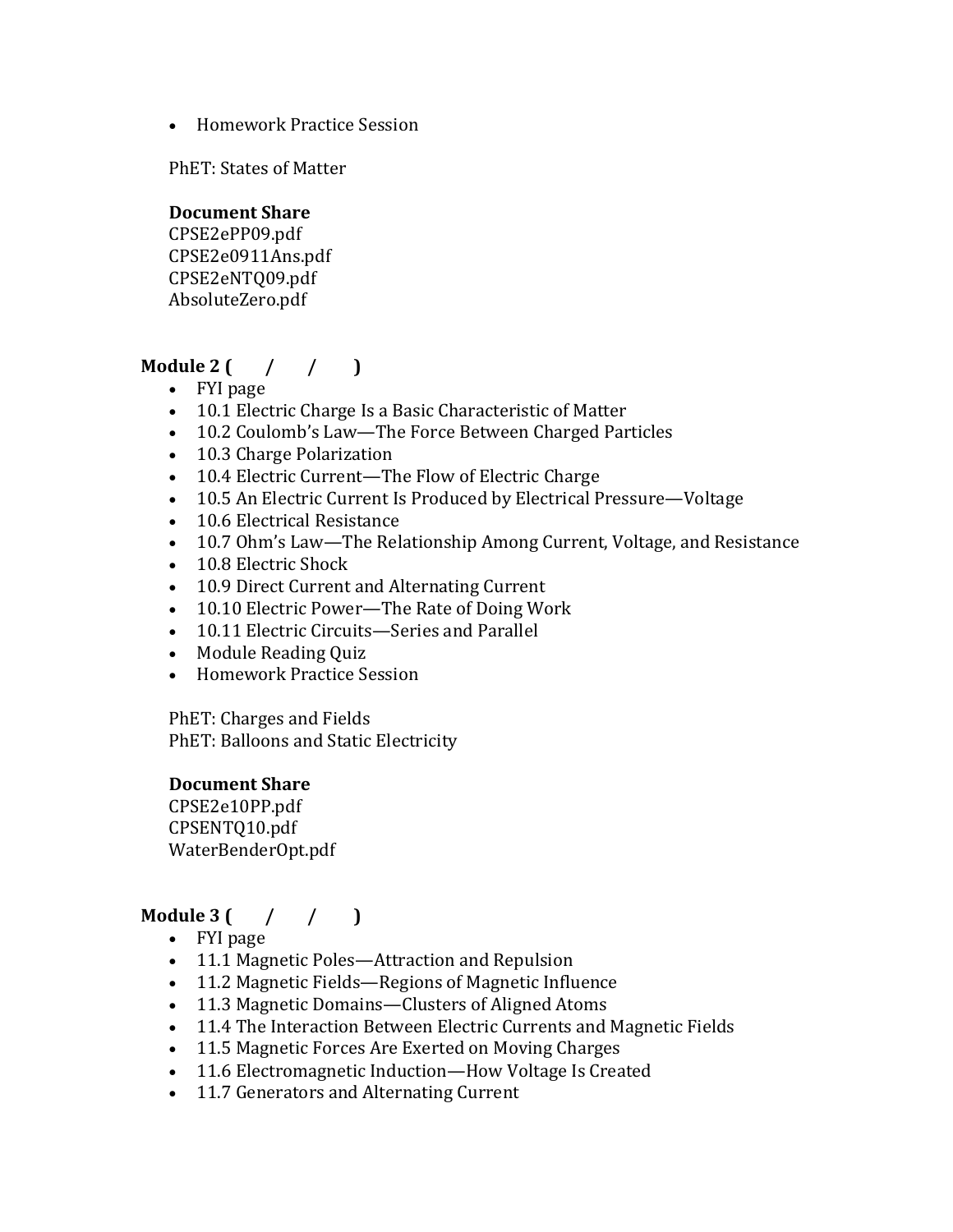• Homework Practice Session

PhET: States of Matter

### **Document Share**

CPSE2ePP09.pdf CPSE2e0911Ans.pdf CPSE2eNTQ09.pdf AbsoluteZero.pdf

## **Module** 2  $($  /  $/$   $)$

- FYI page
- 10.1 Electric Charge Is a Basic Characteristic of Matter
- 10.2 Coulomb's Law—The Force Between Charged Particles
- 10.3 Charge Polarization
- 10.4 Electric Current—The Flow of Electric Charge
- 10.5 An Electric Current Is Produced by Electrical Pressure—Voltage
- 10.6 Electrical Resistance
- 10.7 Ohm's Law-The Relationship Among Current, Voltage, and Resistance
- 10.8 Electric Shock
- 10.9 Direct Current and Alternating Current
- 10.10 Electric Power—The Rate of Doing Work
- 10.11 Electric Circuits—Series and Parallel
- Module Reading Quiz
- Homework Practice Session

PhET: Charges and Fields PhET: Balloons and Static Electricity

#### **Document Share**

CPSE2e10PP.pdf CPSENTQ10.pdf WaterBenderOpt.pdf

### **Module** 3  $($  /  $/$   $)$

- FYI page
- 11.1 Magnetic Poles—Attraction and Repulsion
- 11.2 Magnetic Fields—Regions of Magnetic Influence
- 11.3 Magnetic Domains—Clusters of Aligned Atoms
- 11.4 The Interaction Between Electric Currents and Magnetic Fields
- 11.5 Magnetic Forces Are Exerted on Moving Charges
- 11.6 Electromagnetic Induction—How Voltage Is Created
- 11.7 Generators and Alternating Current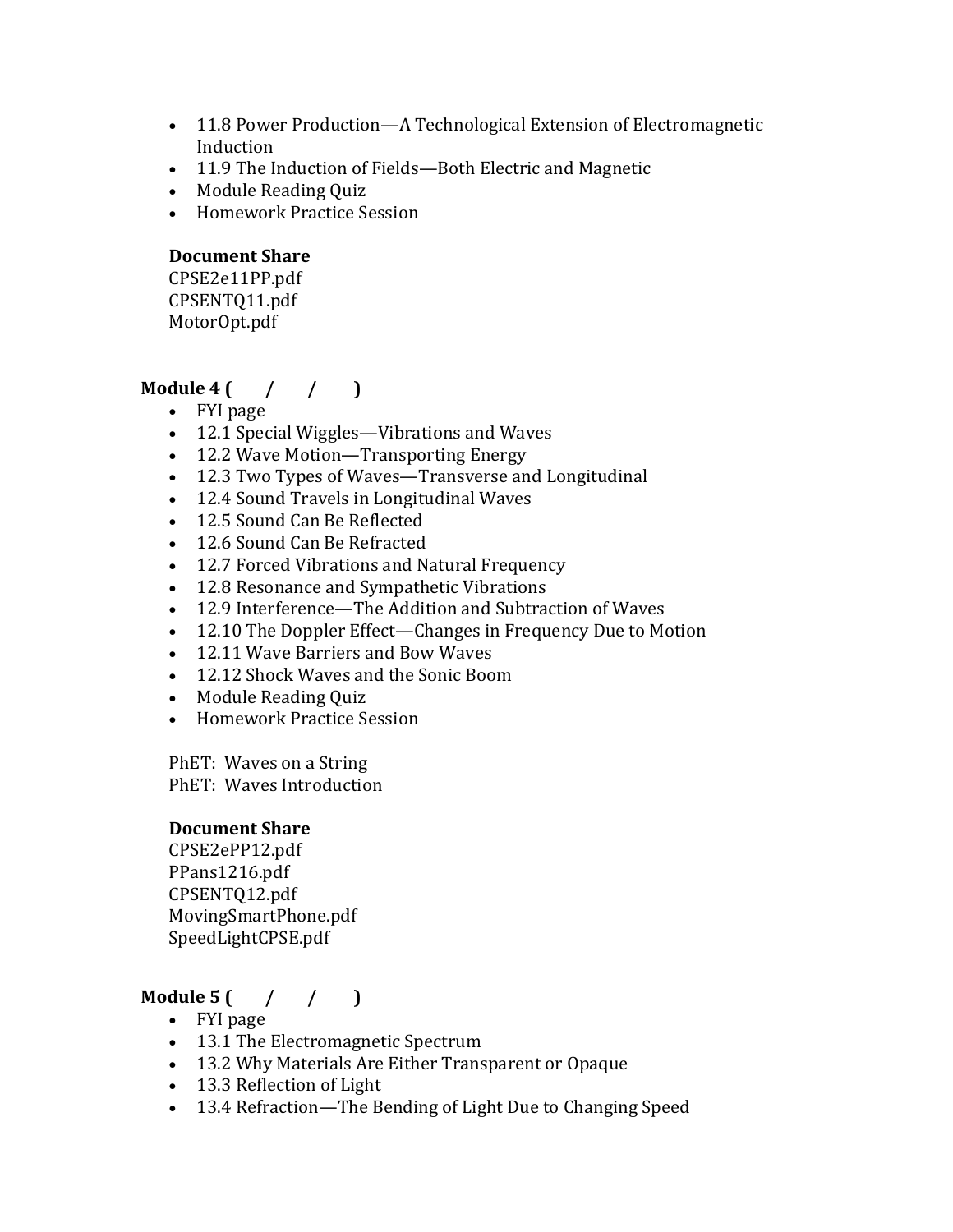- 11.8 Power Production—A Technological Extension of Electromagnetic Induction
- 11.9 The Induction of Fields—Both Electric and Magnetic
- Module Reading Quiz
- Homework Practice Session

### **Document Share**

CPSE2e11PP.pdf CPSENTQ11.pdf MotorOpt.pdf

## **Module 4 (** / / )

- FYI page
- 12.1 Special Wiggles—Vibrations and Waves
- 12.2 Wave Motion—Transporting Energy
- 12.3 Two Types of Waves—Transverse and Longitudinal
- 12.4 Sound Travels in Longitudinal Waves
- 12.5 Sound Can Be Reflected
- 12.6 Sound Can Be Refracted
- 12.7 Forced Vibrations and Natural Frequency
- 12.8 Resonance and Sympathetic Vibrations
- 12.9 Interference—The Addition and Subtraction of Waves
- 12.10 The Doppler Effect—Changes in Frequency Due to Motion
- 12.11 Wave Barriers and Bow Waves
- 12.12 Shock Waves and the Sonic Boom
- Module Reading Quiz
- Homework Practice Session

PhET: Waves on a String PhET: Waves Introduction

#### **Document Share**

CPSE2ePP12.pdf PPans1216.pdf CPSENTQ12.pdf MovingSmartPhone.pdf SpeedLightCPSE.pdf

## **Module 5** ( / / )

- FYI page
- 13.1 The Electromagnetic Spectrum
- 13.2 Why Materials Are Either Transparent or Opaque
- 13.3 Reflection of Light
- 13.4 Refraction—The Bending of Light Due to Changing Speed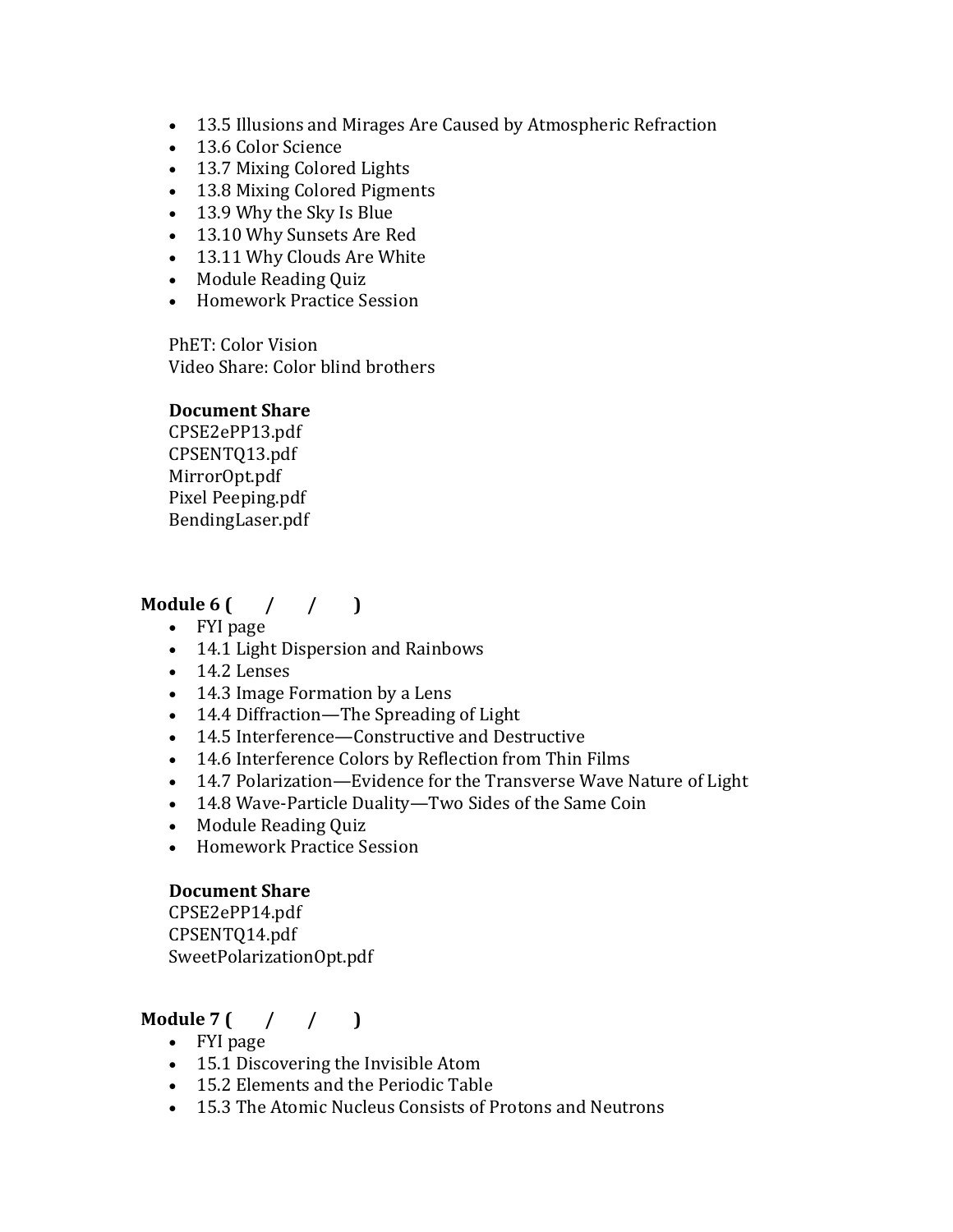- 13.5 Illusions and Mirages Are Caused by Atmospheric Refraction
- 13.6 Color Science
- 13.7 Mixing Colored Lights
- 13.8 Mixing Colored Pigments
- 13.9 Why the Sky Is Blue
- 13.10 Why Sunsets Are Red
- 13.11 Why Clouds Are White
- Module Reading Quiz
- Homework Practice Session

PhET: Color Vision Video Share: Color blind brothers

#### **Document Share**

CPSE2ePP13.pdf CPSENTQ13.pdf MirrorOpt.pdf Pixel Peeping.pdf BendingLaser.pdf

### **Module 6 (** / / )

- FYI page
- 14.1 Light Dispersion and Rainbows
- $\bullet$  14.2 Lenses
- 14.3 Image Formation by a Lens
- 14.4 Diffraction—The Spreading of Light
- 14.5 Interference—Constructive and Destructive
- 14.6 Interference Colors by Reflection from Thin Films
- 14.7 Polarization—Evidence for the Transverse Wave Nature of Light
- 14.8 Wave-Particle Duality-Two Sides of the Same Coin
- Module Reading Quiz
- Homework Practice Session

#### **Document Share**

CPSE2ePP14.pdf CPSENTQ14.pdf SweetPolarizationOpt.pdf

### **Module**  $7$   $($   $/$   $($   $)$

- FYI page
- 15.1 Discovering the Invisible Atom
- 15.2 Elements and the Periodic Table
- 15.3 The Atomic Nucleus Consists of Protons and Neutrons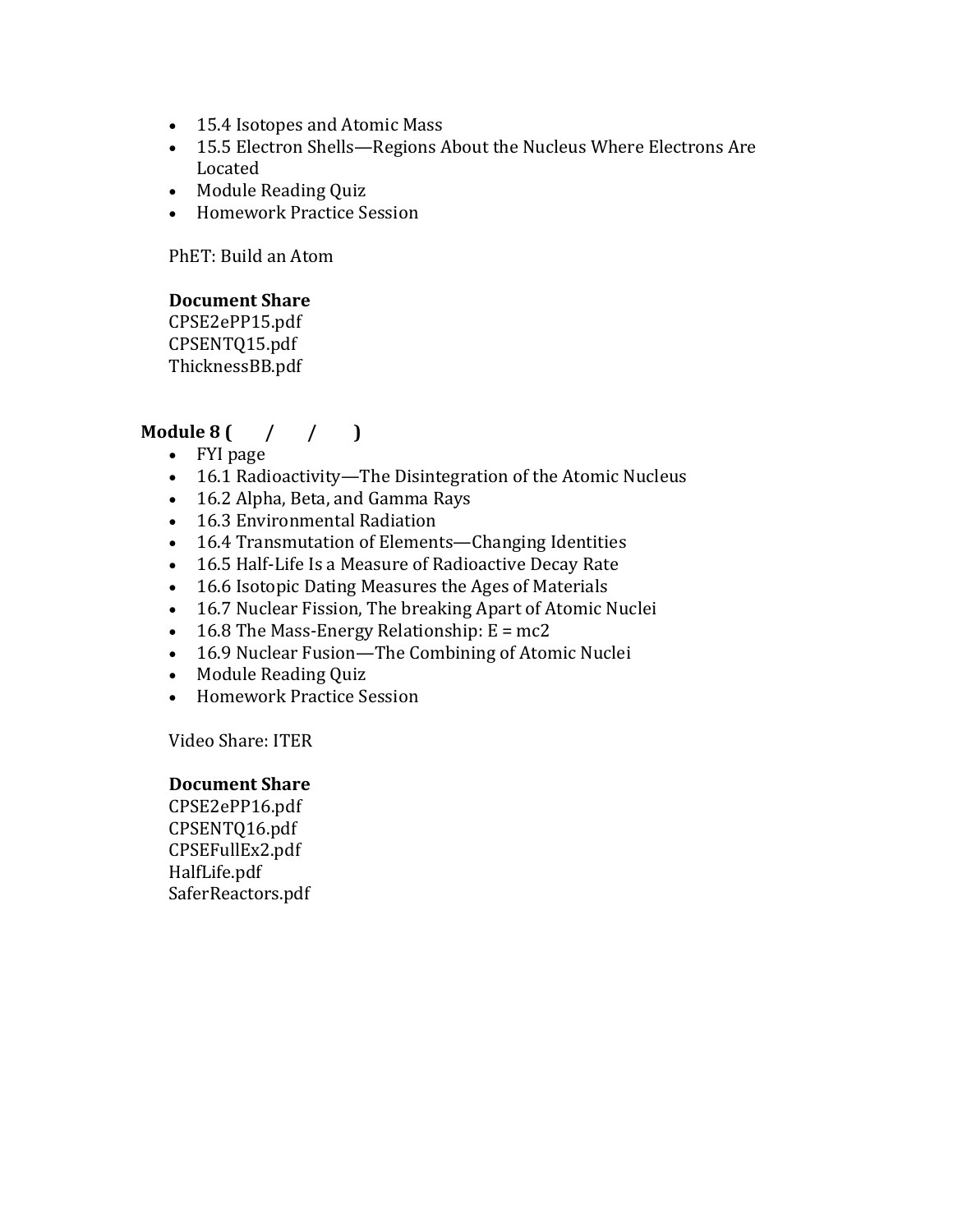- 15.4 Isotopes and Atomic Mass
- 15.5 Electron Shells—Regions About the Nucleus Where Electrons Are Located
- Module Reading Quiz
- Homework Practice Session

PhET: Build an Atom

### **Document Share**

CPSE2ePP15.pdf CPSENTQ15.pdf ThicknessBB.pdf

### **Module** 8  $($  /  $/$   $)$

- FYI page
- 16.1 Radioactivity-The Disintegration of the Atomic Nucleus
- 16.2 Alpha, Beta, and Gamma Rays
- 16.3 Environmental Radiation
- 16.4 Transmutation of Elements—Changing Identities
- 16.5 Half-Life Is a Measure of Radioactive Decay Rate
- 16.6 Isotopic Dating Measures the Ages of Materials
- 16.7 Nuclear Fission, The breaking Apart of Atomic Nuclei
- 16.8 The Mass-Energy Relationship:  $E = mc2$
- 16.9 Nuclear Fusion—The Combining of Atomic Nuclei
- Module Reading Quiz
- Homework Practice Session

Video Share: ITER

#### **Document Share**

CPSE2ePP16.pdf CPSENTQ16.pdf CPSEFullEx2.pdf HalfLife.pdf SaferReactors.pdf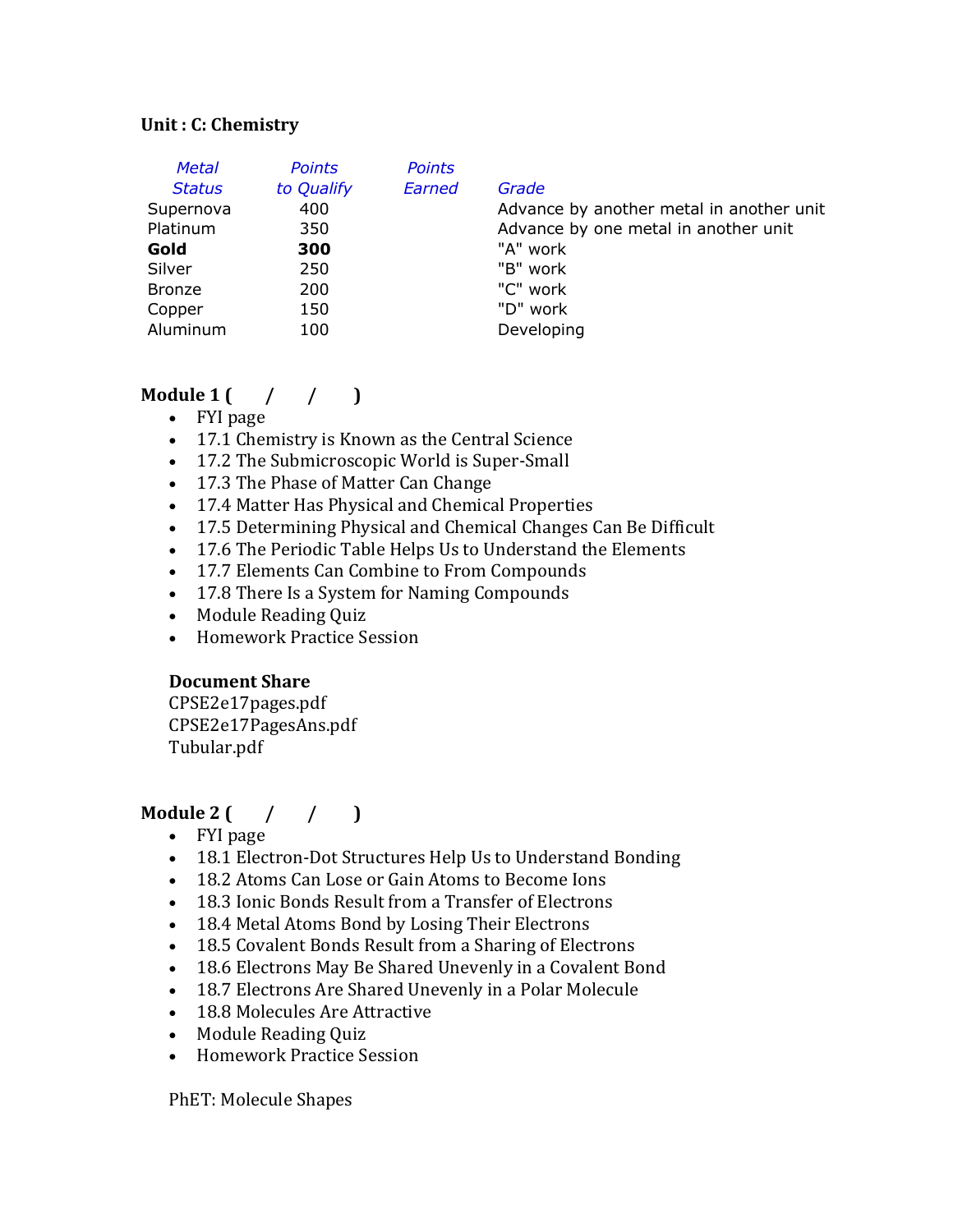#### **Unit : C: Chemistry**

| <b>Points</b> | <b>Points</b> |                                          |
|---------------|---------------|------------------------------------------|
| to Qualify    | Earned        | Grade                                    |
| 400           |               | Advance by another metal in another unit |
| 350           |               | Advance by one metal in another unit     |
| 300           |               | "A" work                                 |
| 250           |               | "B" work                                 |
| 200           |               | "C" work                                 |
| 150           |               | "D" work                                 |
| 100           |               | Developing                               |
|               |               |                                          |

## **Module** 1  $\left( \begin{array}{cc} 1 & 1 \\ 1 & 1 \end{array} \right)$

- FYI page
- 17.1 Chemistry is Known as the Central Science
- 17.2 The Submicroscopic World is Super-Small
- 17.3 The Phase of Matter Can Change
- 17.4 Matter Has Physical and Chemical Properties
- 17.5 Determining Physical and Chemical Changes Can Be Difficult
- 17.6 The Periodic Table Helps Us to Understand the Elements
- 17.7 Elements Can Combine to From Compounds
- 17.8 There Is a System for Naming Compounds
- Module Reading Quiz
- Homework Practice Session

### **Document Share**

CPSE2e17pages.pdf CPSE2e17PagesAns.pdf Tubular.pdf

### **Module 2**  $($  /  $/$   $)$

- FYI page
- 18.1 Electron-Dot Structures Help Us to Understand Bonding
- 18.2 Atoms Can Lose or Gain Atoms to Become Ions
- 18.3 Ionic Bonds Result from a Transfer of Electrons
- 18.4 Metal Atoms Bond by Losing Their Electrons
- 18.5 Covalent Bonds Result from a Sharing of Electrons
- 18.6 Electrons May Be Shared Unevenly in a Covalent Bond
- 18.7 Electrons Are Shared Unevenly in a Polar Molecule
- 18.8 Molecules Are Attractive
- Module Reading Quiz
- Homework Practice Session

PhET: Molecule Shapes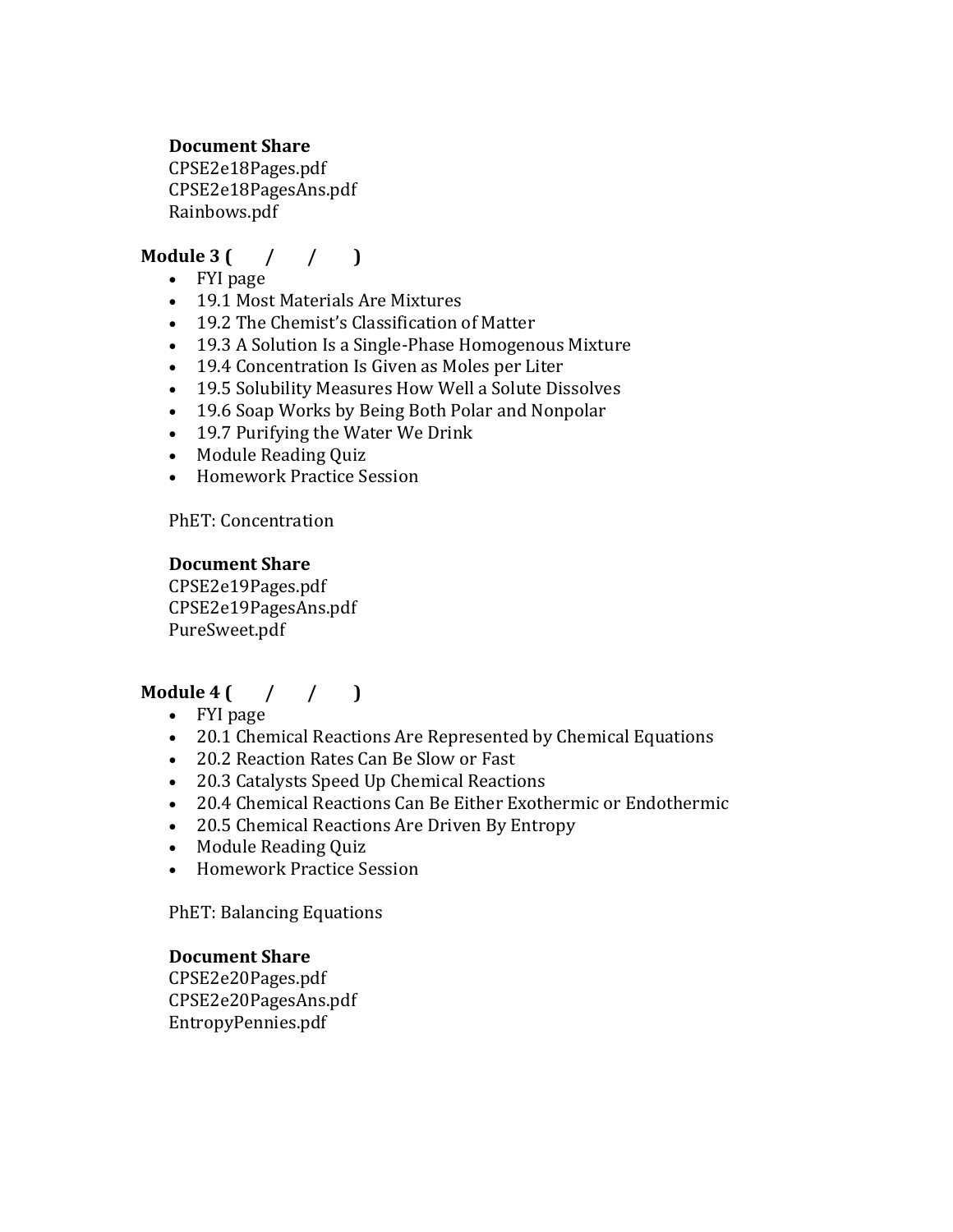#### **Document Share**

CPSE2e18Pages.pdf CPSE2e18PagesAns.pdf Rainbows.pdf

## **Module** 3  $($  /  $/$   $)$

- FYI page
- 19.1 Most Materials Are Mixtures
- 19.2 The Chemist's Classification of Matter
- 19.3 A Solution Is a Single-Phase Homogenous Mixture
- 19.4 Concentration Is Given as Moles per Liter
- 19.5 Solubility Measures How Well a Solute Dissolves
- 19.6 Soap Works by Being Both Polar and Nonpolar
- 19.7 Purifying the Water We Drink
- Module Reading Quiz
- Homework Practice Session

PhET: Concentration

### **Document Share**

CPSE2e19Pages.pdf CPSE2e19PagesAns.pdf PureSweet.pdf

## **Module** 4  $($  /  $/$  1

- FYI page
- 20.1 Chemical Reactions Are Represented by Chemical Equations
- 20.2 Reaction Rates Can Be Slow or Fast
- 20.3 Catalysts Speed Up Chemical Reactions
- 20.4 Chemical Reactions Can Be Either Exothermic or Endothermic
- 20.5 Chemical Reactions Are Driven By Entropy
- Module Reading Quiz
- Homework Practice Session

PhET: Balancing Equations

#### **Document Share**

CPSE2e20Pages.pdf CPSE2e20PagesAns.pdf EntropyPennies.pdf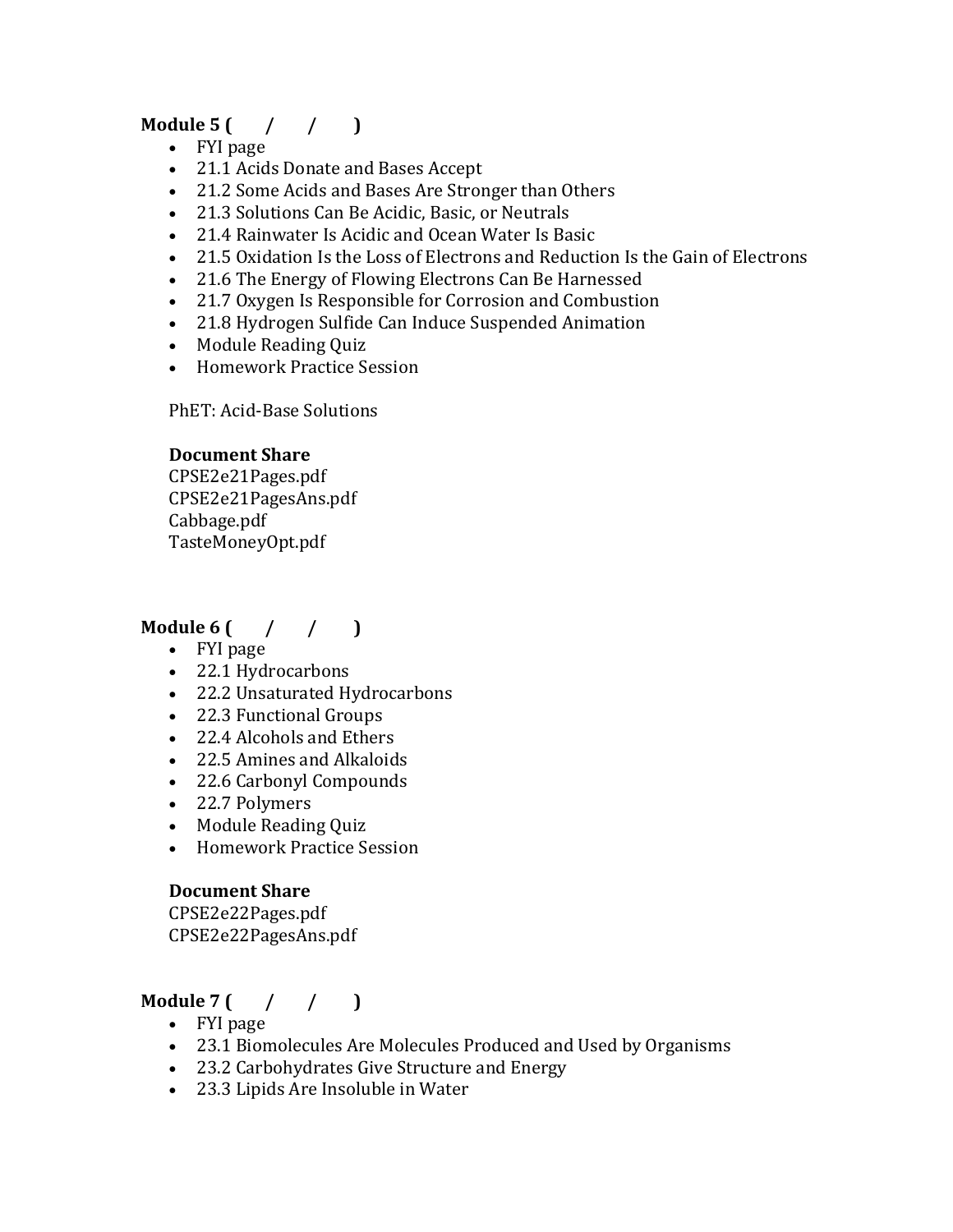## **Module**  $5 \left( \frac{1}{1000} \right)$

- FYI page
- 21.1 Acids Donate and Bases Accept
- 21.2 Some Acids and Bases Are Stronger than Others
- 21.3 Solutions Can Be Acidic, Basic, or Neutrals
- 21.4 Rainwater Is Acidic and Ocean Water Is Basic
- 21.5 Oxidation Is the Loss of Electrons and Reduction Is the Gain of Electrons
- 21.6 The Energy of Flowing Electrons Can Be Harnessed
- 21.7 Oxygen Is Responsible for Corrosion and Combustion
- 21.8 Hydrogen Sulfide Can Induce Suspended Animation
- Module Reading Ouiz
- Homework Practice Session

PhET: Acid-Base Solutions

#### **Document Share**

CPSE2e21Pages.pdf CPSE2e21PagesAns.pdf Cabbage.pdf TasteMoneyOpt.pdf

## **Module** 6  $($  /  $/$  1

- FYI page
- 22.1 Hydrocarbons
- 22.2 Unsaturated Hydrocarbons
- 22.3 Functional Groups
- 22.4 Alcohols and Ethers
- 22.5 Amines and Alkaloids
- 22.6 Carbonyl Compounds
- 22.7 Polymers
- Module Reading Quiz
- Homework Practice Session

#### **Document Share**

CPSE2e22Pages.pdf CPSE2e22PagesAns.pdf

## **Module**  $7$   $\left( \begin{array}{cc} 7 & 7 \end{array} \right)$

- FYI page
- 23.1 Biomolecules Are Molecules Produced and Used by Organisms
- 23.2 Carbohydrates Give Structure and Energy
- 23.3 Lipids Are Insoluble in Water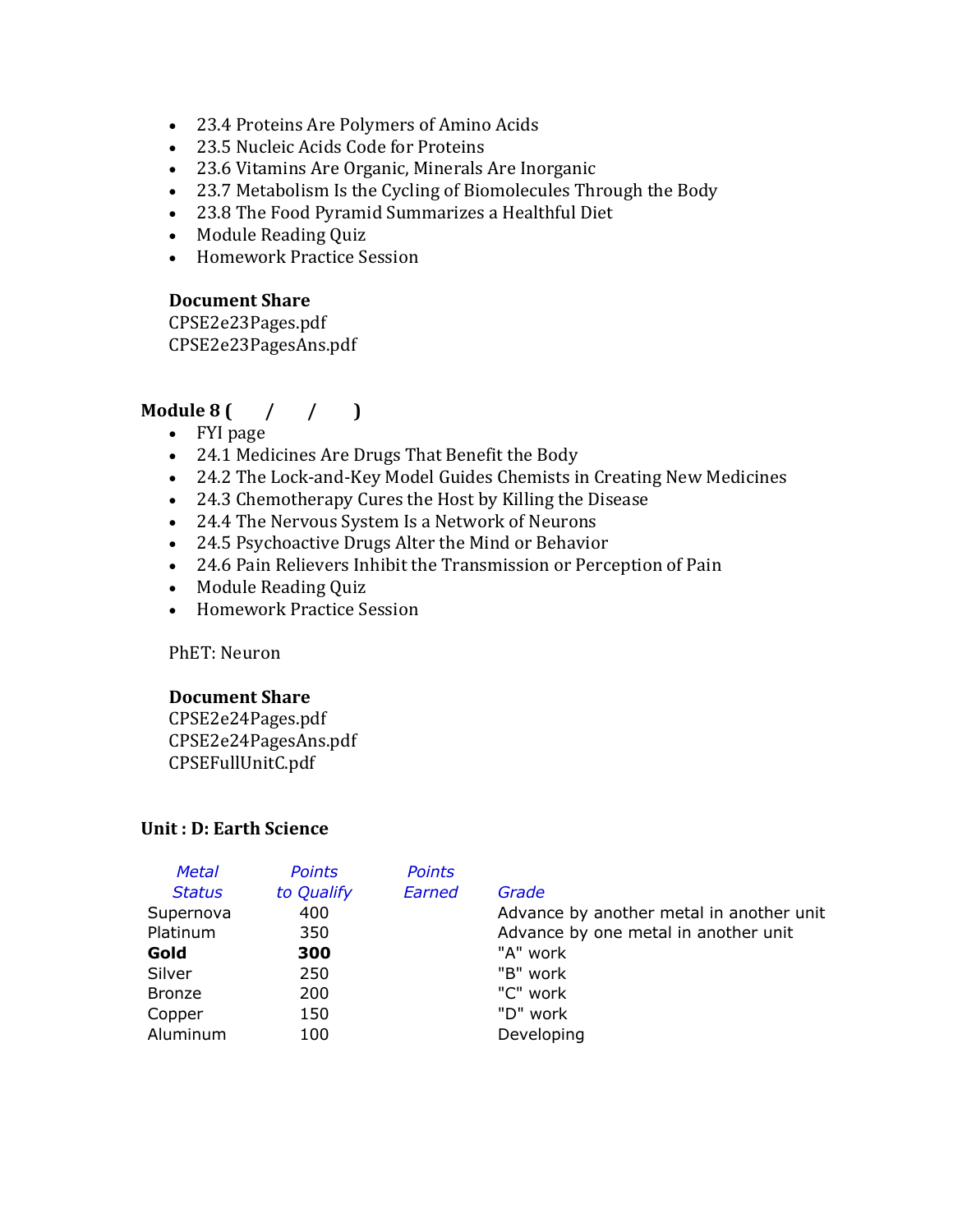- 23.4 Proteins Are Polymers of Amino Acids
- 23.5 Nucleic Acids Code for Proteins
- 23.6 Vitamins Are Organic, Minerals Are Inorganic
- 23.7 Metabolism Is the Cycling of Biomolecules Through the Body
- 23.8 The Food Pyramid Summarizes a Healthful Diet
- Module Reading Quiz
- Homework Practice Session

#### **Document Share**

CPSE2e23Pages.pdf CPSE2e23PagesAns.pdf

### **Module** 8  $($  /  $/$   $)$

- FYI page
- 24.1 Medicines Are Drugs That Benefit the Body
- 24.2 The Lock-and-Key Model Guides Chemists in Creating New Medicines
- 24.3 Chemotherapy Cures the Host by Killing the Disease
- 24.4 The Nervous System Is a Network of Neurons
- 24.5 Psychoactive Drugs Alter the Mind or Behavior
- 24.6 Pain Relievers Inhibit the Transmission or Perception of Pain
- Module Reading Quiz
- Homework Practice Session

PhET: Neuron

#### **Document Share**

CPSE2e24Pages.pdf CPSE2e24PagesAns.pdf CPSEFullUnitC.pdf

#### **Unit: D: Earth Science**

| <b>Metal</b>  | <b>Points</b> | <b>Points</b> |                                          |
|---------------|---------------|---------------|------------------------------------------|
| <b>Status</b> | to Qualify    | Earned        | Grade                                    |
| Supernova     | 400           |               | Advance by another metal in another unit |
| Platinum      | 350           |               | Advance by one metal in another unit     |
| Gold          | 300           |               | "A" work                                 |
| Silver        | 250           |               | "B" work                                 |
| <b>Bronze</b> | 200           |               | "C" work                                 |
| Copper        | 150           |               | "D" work                                 |
| Aluminum      | 100           |               | Developing                               |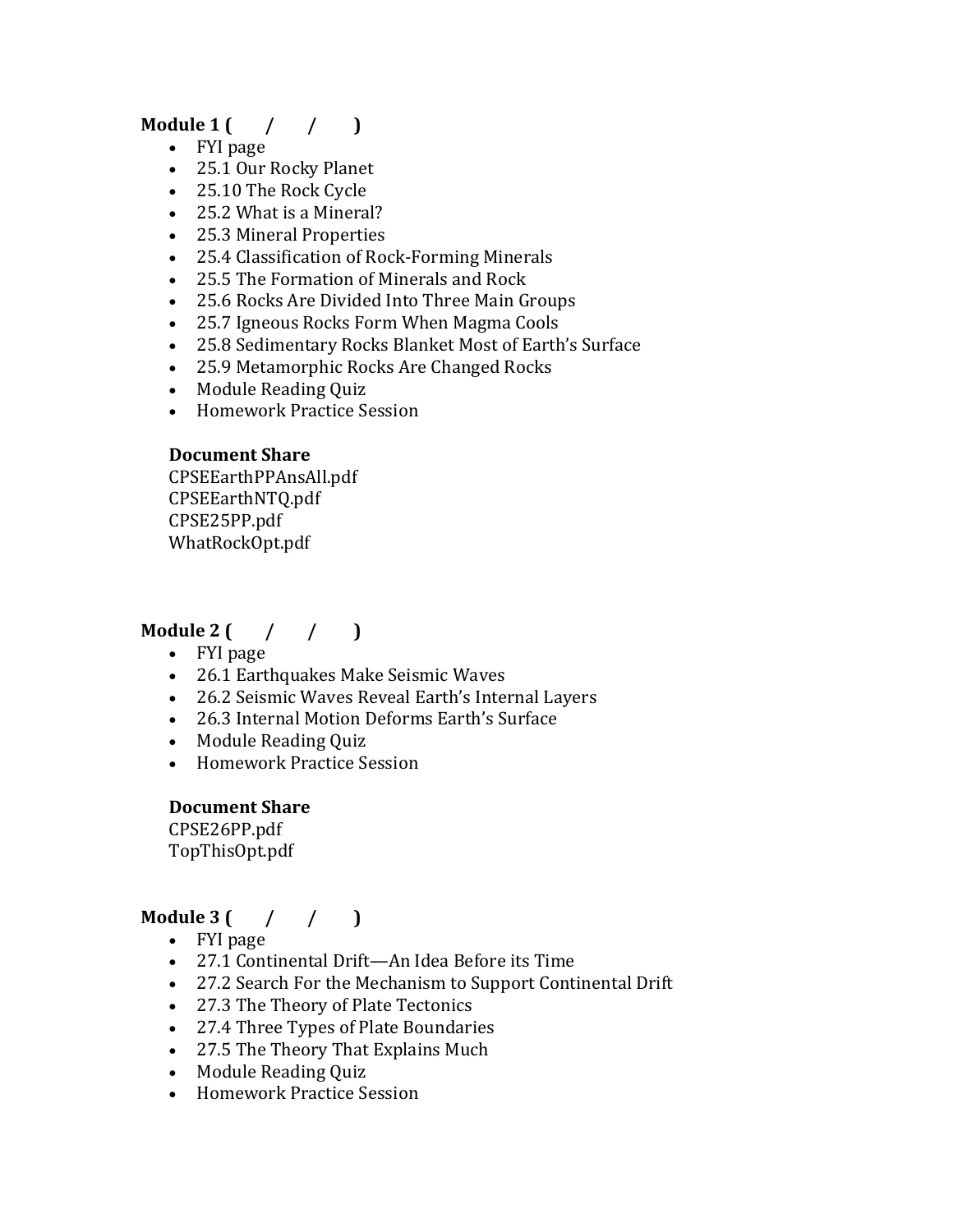## **Module**  $1 \left( \begin{array}{cc} \end{array} \right)$

- FYI page
- 25.1 Our Rocky Planet
- 25.10 The Rock Cycle
- 25.2 What is a Mineral?
- 25.3 Mineral Properties
- 25.4 Classification of Rock-Forming Minerals
- 25.5 The Formation of Minerals and Rock
- 25.6 Rocks Are Divided Into Three Main Groups
- 25.7 Igneous Rocks Form When Magma Cools
- 25.8 Sedimentary Rocks Blanket Most of Earth's Surface
- 25.9 Metamorphic Rocks Are Changed Rocks
- Module Reading Quiz
- Homework Practice Session

### **Document Share**

CPSEEarthPPAnsAll.pdf CPSEEarthNTQ.pdf CPSE25PP.pdf WhatRockOpt.pdf

### **Module** 2  $($  /  $/$   $)$

- FYI page
- 26.1 Earthquakes Make Seismic Waves
- 26.2 Seismic Waves Reveal Earth's Internal Layers
- 26.3 Internal Motion Deforms Earth's Surface
- Module Reading Quiz
- Homework Practice Session

#### **Document Share**

CPSE26PP.pdf TopThisOpt.pdf

## **Module** 3  $($  /  $/$   $)$

- FYI page
- 27.1 Continental Drift—An Idea Before its Time
- 27.2 Search For the Mechanism to Support Continental Drift
- 27.3 The Theory of Plate Tectonics
- 27.4 Three Types of Plate Boundaries
- 27.5 The Theory That Explains Much
- Module Reading Quiz
- Homework Practice Session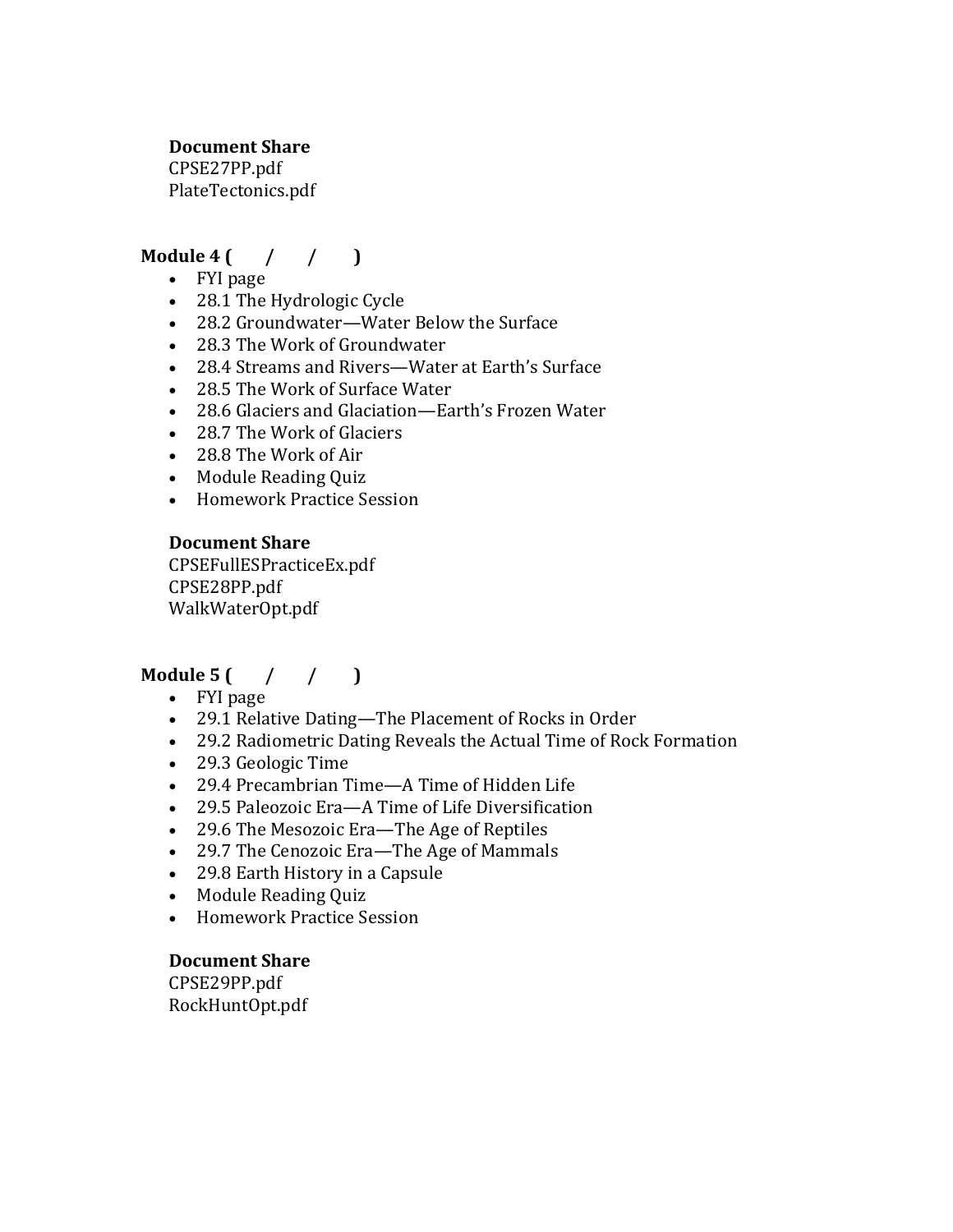#### **Document Share**

CPSE27PP.pdf PlateTectonics.pdf

### **Module 4 (** / / )

- FYI page
- 28.1 The Hydrologic Cycle
- 28.2 Groundwater—Water Below the Surface
- 28.3 The Work of Groundwater
- 28.4 Streams and Rivers—Water at Earth's Surface
- 28.5 The Work of Surface Water
- 28.6 Glaciers and Glaciation—Earth's Frozen Water
- 28.7 The Work of Glaciers
- 28.8 The Work of Air
- Module Reading Quiz
- Homework Practice Session

#### **Document Share**

CPSEFullESPracticeEx.pdf CPSE28PP.pdf WalkWaterOpt.pdf

### **Module** 5  $($  /  $/$   $)$

- FYI page
- 29.1 Relative Dating—The Placement of Rocks in Order
- 29.2 Radiometric Dating Reveals the Actual Time of Rock Formation
- 29.3 Geologic Time
- 29.4 Precambrian Time—A Time of Hidden Life
- 29.5 Paleozoic Era—A Time of Life Diversification
- 29.6 The Mesozoic Era—The Age of Reptiles
- 29.7 The Cenozoic Era—The Age of Mammals
- 29.8 Earth History in a Capsule
- Module Reading Quiz
- Homework Practice Session

#### **Document Share**

CPSE29PP.pdf RockHuntOpt.pdf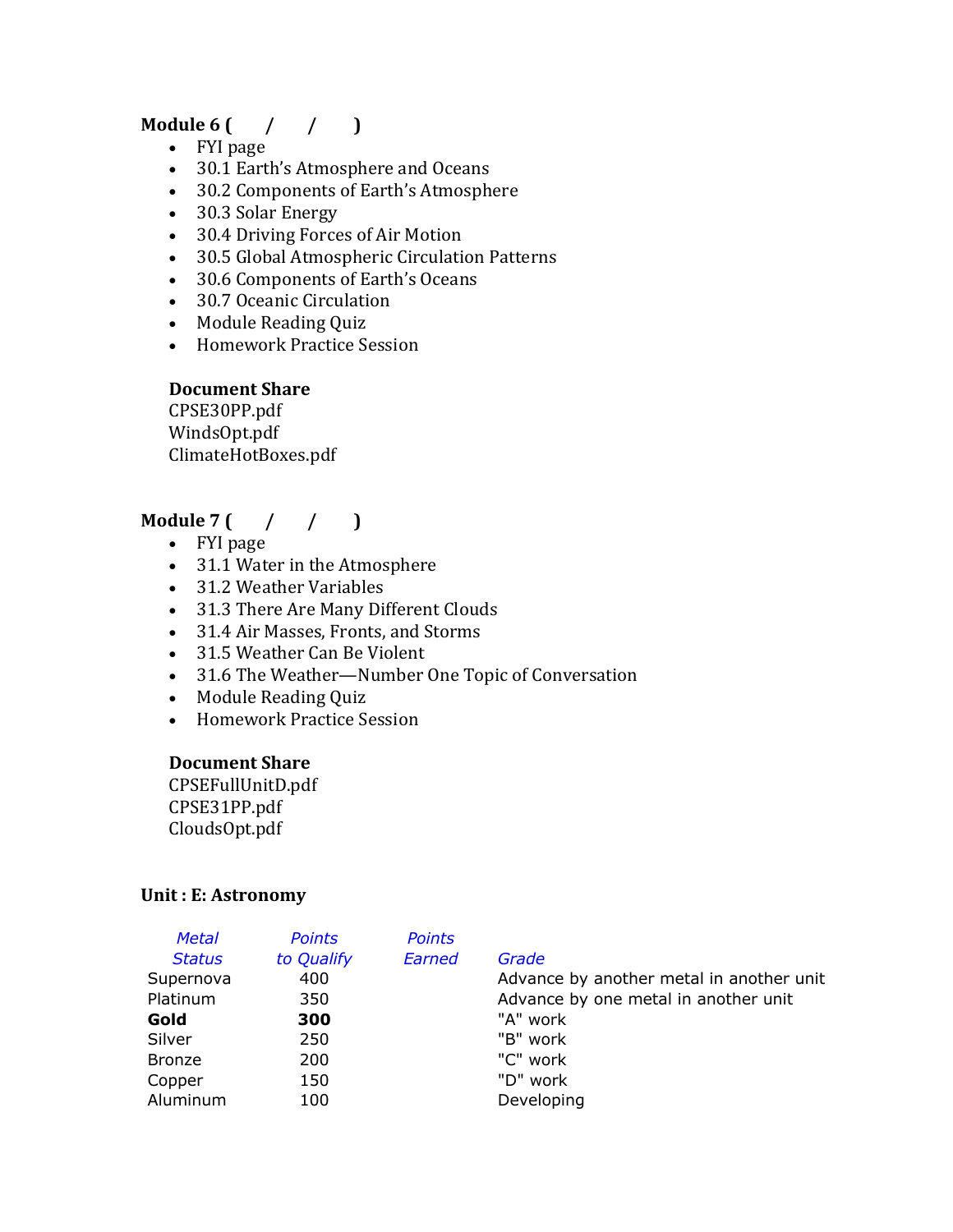### **Module** 6  $($  /  $/$   $)$

- FYI page
- 30.1 Earth's Atmosphere and Oceans
- 30.2 Components of Earth's Atmosphere
- 30.3 Solar Energy
- 30.4 Driving Forces of Air Motion
- 30.5 Global Atmospheric Circulation Patterns
- 30.6 Components of Earth's Oceans
- 30.7 Oceanic Circulation
- Module Reading Quiz
- Homework Practice Session

### **Document Share**

CPSE30PP.pdf WindsOpt.pdf ClimateHotBoxes.pdf

## **Module** 7 ( / / )

- FYI page
- 31.1 Water in the Atmosphere
- 31.2 Weather Variables
- 31.3 There Are Many Different Clouds
- 31.4 Air Masses, Fronts, and Storms
- 31.5 Weather Can Be Violent
- 31.6 The Weather—Number One Topic of Conversation
- Module Reading Quiz
- Homework Practice Session

#### **Document Share**

CPSEFullUnitD.pdf CPSE31PP.pdf CloudsOpt.pdf

#### **Unit: E: Astronomy**

| to Qualify<br><b>Status</b><br>400<br>Supernova<br>Platinum<br>350<br>Gold<br>300<br>Silver<br>250<br><b>Bronze</b><br>200<br>150<br>Copper | Earned | Grade<br>Advance by another metal in another unit<br>Advance by one metal in another unit<br>"A" work<br>"B" work<br>"C" work<br>"D" work |
|---------------------------------------------------------------------------------------------------------------------------------------------|--------|-------------------------------------------------------------------------------------------------------------------------------------------|
| Aluminum<br>100                                                                                                                             |        | Developing                                                                                                                                |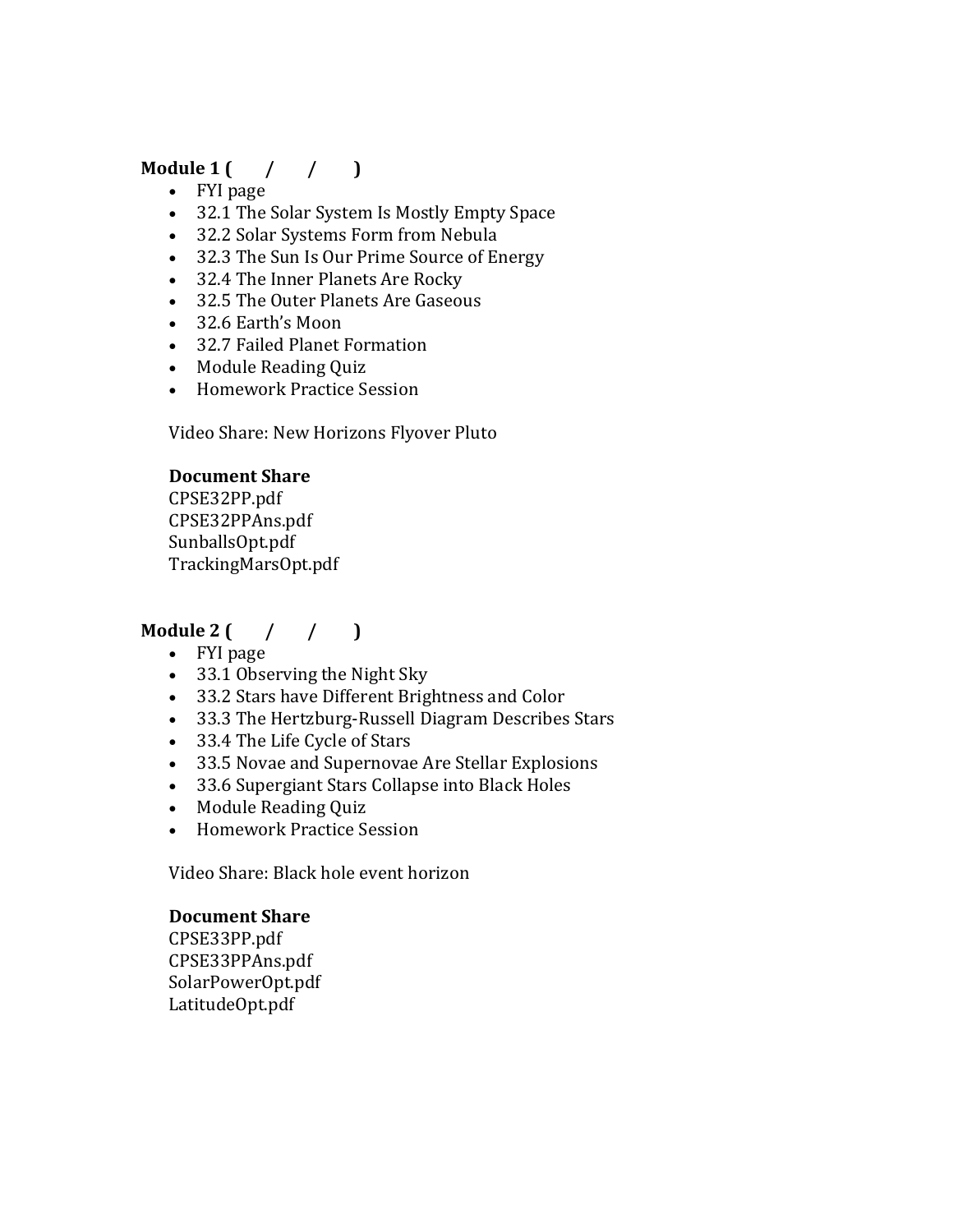## **Module**  $1 \left( \frac{1}{1 \cdot 1} \right)$

- FYI page
- 32.1 The Solar System Is Mostly Empty Space
- 32.2 Solar Systems Form from Nebula
- 32.3 The Sun Is Our Prime Source of Energy
- 32.4 The Inner Planets Are Rocky
- 32.5 The Outer Planets Are Gaseous
- 32.6 Earth's Moon
- 32.7 Failed Planet Formation
- Module Reading Quiz
- Homework Practice Session

Video Share: New Horizons Flyover Pluto

#### **Document Share**

CPSE32PP.pdf CPSE32PPAns.pdf SunballsOpt.pdf TrackingMarsOpt.pdf

### **Module** 2  $($  /  $/$   $)$

- FYI page
- 33.1 Observing the Night Sky
- 33.2 Stars have Different Brightness and Color
- 33.3 The Hertzburg-Russell Diagram Describes Stars
- 33.4 The Life Cycle of Stars
- 33.5 Novae and Supernovae Are Stellar Explosions
- 33.6 Supergiant Stars Collapse into Black Holes
- Module Reading Quiz
- Homework Practice Session

Video Share: Black hole event horizon

#### **Document Share**

CPSE33PP.pdf CPSE33PPAns.pdf SolarPowerOpt.pdf LatitudeOpt.pdf